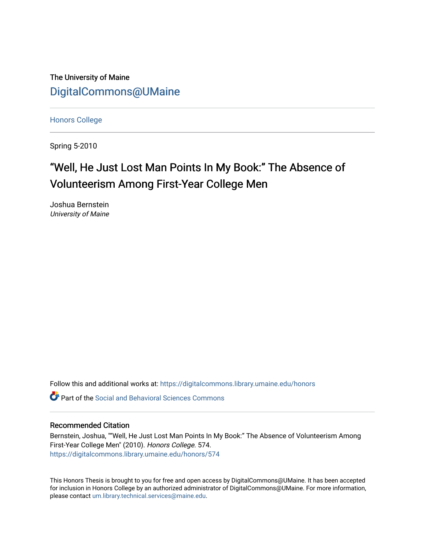The University of Maine [DigitalCommons@UMaine](https://digitalcommons.library.umaine.edu/)

[Honors College](https://digitalcommons.library.umaine.edu/honors)

Spring 5-2010

# "Well, He Just Lost Man Points In My Book:" The Absence of Volunteerism Among First-Year College Men

Joshua Bernstein University of Maine

Follow this and additional works at: [https://digitalcommons.library.umaine.edu/honors](https://digitalcommons.library.umaine.edu/honors?utm_source=digitalcommons.library.umaine.edu%2Fhonors%2F574&utm_medium=PDF&utm_campaign=PDFCoverPages) 

 $\bullet$  Part of the Social and Behavioral Sciences Commons

#### Recommended Citation

Bernstein, Joshua, ""Well, He Just Lost Man Points In My Book:" The Absence of Volunteerism Among First-Year College Men" (2010). Honors College. 574. [https://digitalcommons.library.umaine.edu/honors/574](https://digitalcommons.library.umaine.edu/honors/574?utm_source=digitalcommons.library.umaine.edu%2Fhonors%2F574&utm_medium=PDF&utm_campaign=PDFCoverPages) 

This Honors Thesis is brought to you for free and open access by DigitalCommons@UMaine. It has been accepted for inclusion in Honors College by an authorized administrator of DigitalCommons@UMaine. For more information, please contact [um.library.technical.services@maine.edu.](mailto:um.library.technical.services@maine.edu)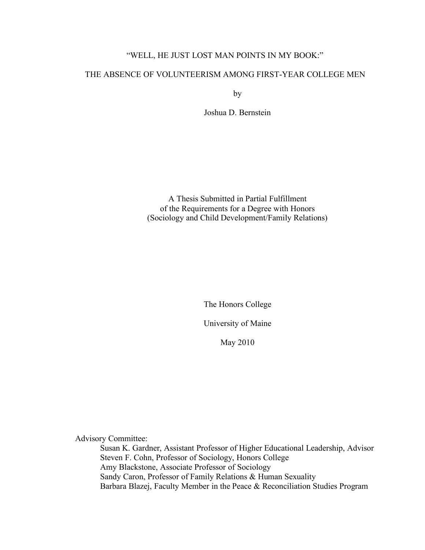## "WELL, HE JUST LOST MAN POINTS IN MY BOOK:"

### THE ABSENCE OF VOLUNTEERISM AMONG FIRST-YEAR COLLEGE MEN

by

Joshua D. Bernstein

A Thesis Submitted in Partial Fulfillment of the Requirements for a Degree with Honors (Sociology and Child Development/Family Relations)

> The Honors College University of Maine

> > May 2010

Advisory Committee:

Susan K. Gardner, Assistant Professor of Higher Educational Leadership, Advisor Steven F. Cohn, Professor of Sociology, Honors College Amy Blackstone, Associate Professor of Sociology Sandy Caron, Professor of Family Relations & Human Sexuality Barbara Blazej, Faculty Member in the Peace & Reconciliation Studies Program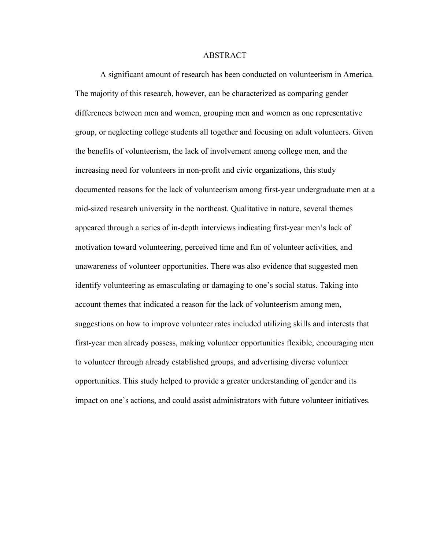#### **ABSTRACT**

A significant amount of research has been conducted on volunteerism in America. The majority of this research, however, can be characterized as comparing gender differences between men and women, grouping men and women as one representative group, or neglecting college students all together and focusing on adult volunteers. Given the benefits of volunteerism, the lack of involvement among college men, and the increasing need for volunteers in non-profit and civic organizations, this study documented reasons for the lack of volunteerism among first-year undergraduate men at a mid-sized research university in the northeast. Qualitative in nature, several themes appeared through a series of in-depth interviews indicating first-year men's lack of motivation toward volunteering, perceived time and fun of volunteer activities, and unawareness of volunteer opportunities. There was also evidence that suggested men identify volunteering as emasculating or damaging to one's social status. Taking into account themes that indicated a reason for the lack of volunteerism among men, suggestions on how to improve volunteer rates included utilizing skills and interests that first-year men already possess, making volunteer opportunities flexible, encouraging men to volunteer through already established groups, and advertising diverse volunteer opportunities. This study helped to provide a greater understanding of gender and its impact on one's actions, and could assist administrators with future volunteer initiatives.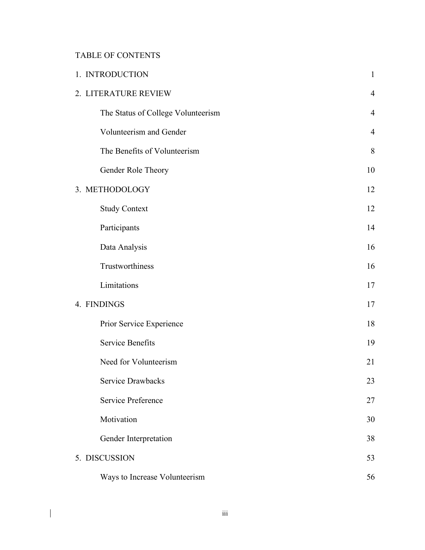# TABLE OF CONTENTS

 $\overline{\phantom{a}}$ 

| 1. INTRODUCTION                    | $\mathbf{1}$   |
|------------------------------------|----------------|
| 2. LITERATURE REVIEW               | $\overline{4}$ |
| The Status of College Volunteerism | $\overline{4}$ |
| Volunteerism and Gender            | $\overline{4}$ |
| The Benefits of Volunteerism       | 8              |
| Gender Role Theory                 | 10             |
| 3. METHODOLOGY                     | 12             |
| <b>Study Context</b>               | 12             |
| Participants                       | 14             |
| Data Analysis                      | 16             |
| Trustworthiness                    | 16             |
| Limitations                        | 17             |
| 4. FINDINGS                        | 17             |
| Prior Service Experience           | 18             |
| <b>Service Benefits</b>            | 19             |
| Need for Volunteerism              | 21             |
| Service Drawbacks                  | 23             |
| <b>Service Preference</b>          | 27             |
| Motivation                         | 30             |
| Gender Interpretation              | 38             |
| 5. DISCUSSION                      | 53             |
| Ways to Increase Volunteerism      | 56             |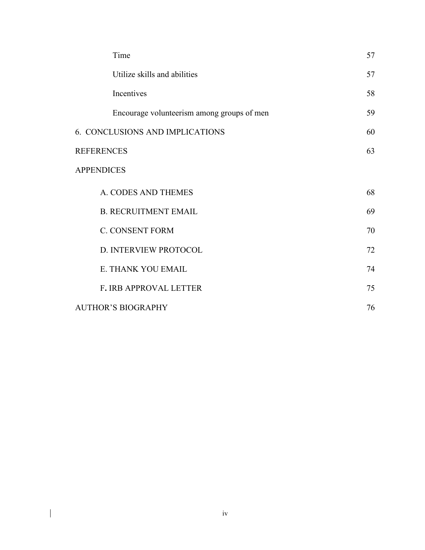|                   | Time                                       | 57 |  |  |  |
|-------------------|--------------------------------------------|----|--|--|--|
|                   | Utilize skills and abilities               | 57 |  |  |  |
|                   | Incentives                                 | 58 |  |  |  |
|                   | Encourage volunteerism among groups of men | 59 |  |  |  |
|                   | 6. CONCLUSIONS AND IMPLICATIONS            | 60 |  |  |  |
|                   | <b>REFERENCES</b>                          | 63 |  |  |  |
| <b>APPENDICES</b> |                                            |    |  |  |  |
|                   | A. CODES AND THEMES                        | 68 |  |  |  |
|                   | <b>B. RECRUITMENT EMAIL</b>                | 69 |  |  |  |
|                   | <b>C. CONSENT FORM</b>                     | 70 |  |  |  |
|                   | D. INTERVIEW PROTOCOL                      | 72 |  |  |  |
|                   | E. THANK YOU EMAIL                         | 74 |  |  |  |
|                   | F. IRB APPROVAL LETTER                     | 75 |  |  |  |
|                   | <b>AUTHOR'S BIOGRAPHY</b>                  | 76 |  |  |  |

 $\begin{array}{c} \rule{0pt}{2ex} \rule{0pt}{2ex} \rule{0pt}{2ex} \rule{0pt}{2ex} \rule{0pt}{2ex} \rule{0pt}{2ex} \rule{0pt}{2ex} \rule{0pt}{2ex} \rule{0pt}{2ex} \rule{0pt}{2ex} \rule{0pt}{2ex} \rule{0pt}{2ex} \rule{0pt}{2ex} \rule{0pt}{2ex} \rule{0pt}{2ex} \rule{0pt}{2ex} \rule{0pt}{2ex} \rule{0pt}{2ex} \rule{0pt}{2ex} \rule{0pt}{2ex} \rule{0pt}{2ex} \rule{0pt}{2ex} \rule{0pt}{2ex} \rule{0pt}{$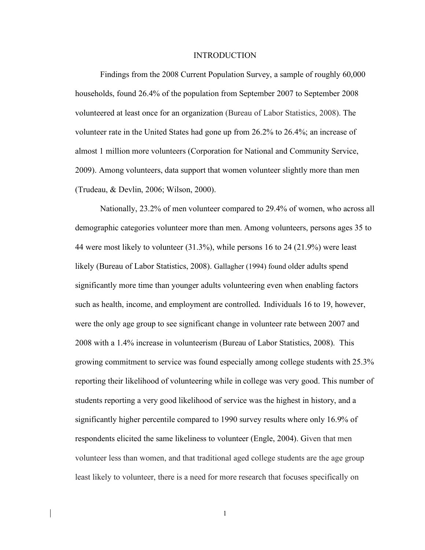#### INTRODUCTION

Findings from the 2008 Current Population Survey, a sample of roughly 60,000 households, found 26.4% of the population from September 2007 to September 2008 volunteered at least once for an organization (Bureau of Labor Statistics, 2008). The volunteer rate in the United States had gone up from 26.2% to 26.4%; an increase of almost 1 million more volunteers (Corporation for National and Community Service, 2009). Among volunteers, data support that women volunteer slightly more than men (Trudeau, & Devlin, 2006; Wilson, 2000).

Nationally, 23.2% of men volunteer compared to 29.4% of women, who across all demographic categories volunteer more than men. Among volunteers, persons ages 35 to 44 were most likely to volunteer (31.3%), while persons 16 to 24 (21.9%) were least likely (Bureau of Labor Statistics, 2008). Gallagher (1994) found older adults spend significantly more time than younger adults volunteering even when enabling factors such as health, income, and employment are controlled**.** Individuals 16 to 19, however, were the only age group to see significant change in volunteer rate between 2007 and 2008 with a 1.4% increase in volunteerism (Bureau of Labor Statistics, 2008). This growing commitment to service was found especially among college students with 25.3% reporting their likelihood of volunteering while in college was very good. This number of students reporting a very good likelihood of service was the highest in history, and a significantly higher percentile compared to 1990 survey results where only 16.9% of respondents elicited the same likeliness to volunteer (Engle, 2004). Given that men volunteer less than women, and that traditional aged college students are the age group least likely to volunteer, there is a need for more research that focuses specifically on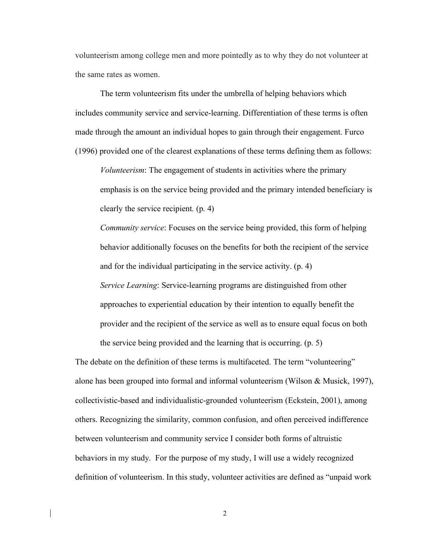volunteerism among college men and more pointedly as to why they do not volunteer at the same rates as women.

The term volunteerism fits under the umbrella of helping behaviors which includes community service and service-learning. Differentiation of these terms is often made through the amount an individual hopes to gain through their engagement. Furco (1996) provided one of the clearest explanations of these terms defining them as follows:

*Volunteerism*: The engagement of students in activities where the primary emphasis is on the service being provided and the primary intended beneficiary is clearly the service recipient. (p. 4)

*Community service*: Focuses on the service being provided, this form of helping behavior additionally focuses on the benefits for both the recipient of the service and for the individual participating in the service activity. (p. 4)

*Service Learning*: Service-learning programs are distinguished from other approaches to experiential education by their intention to equally benefit the provider and the recipient of the service as well as to ensure equal focus on both the service being provided and the learning that is occurring. (p. 5)

The debate on the definition of these terms is multifaceted. The term "volunteering" alone has been grouped into formal and informal volunteerism (Wilson & Musick, 1997), collectivistic-based and individualistic-grounded volunteerism (Eckstein, 2001), among others. Recognizing the similarity, common confusion, and often perceived indifference between volunteerism and community service I consider both forms of altruistic behaviors in my study. For the purpose of my study, I will use a widely recognized definition of volunteerism. In this study, volunteer activities are defined as "unpaid work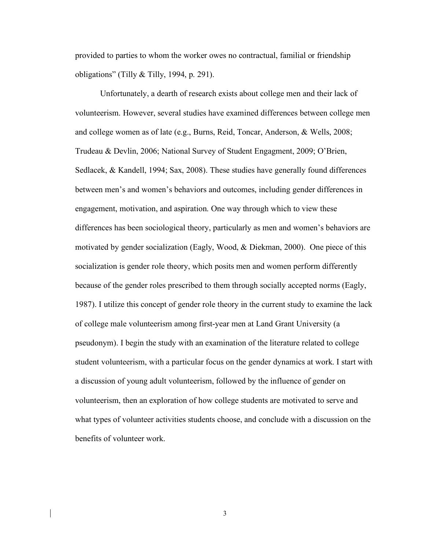provided to parties to whom the worker owes no contractual, familial or friendship obligations" (Tilly & Tilly, 1994, p. 291).

Unfortunately, a dearth of research exists about college men and their lack of volunteerism. However, several studies have examined differences between college men and college women as of late (e.g., Burns, Reid, Toncar, Anderson, & Wells, 2008; Trudeau & Devlin, 2006; National Survey of Student Engagment, 2009; O'Brien, Sedlacek, & Kandell, 1994; Sax, 2008). These studies have generally found differences between men's and women's behaviors and outcomes, including gender differences in engagement, motivation, and aspiration. One way through which to view these differences has been sociological theory, particularly as men and women's behaviors are motivated by gender socialization (Eagly, Wood, & Diekman, 2000). One piece of this socialization is gender role theory, which posits men and women perform differently because of the gender roles prescribed to them through socially accepted norms (Eagly, 1987). I utilize this concept of gender role theory in the current study to examine the lack of college male volunteerism among first-year men at Land Grant University (a pseudonym). I begin the study with an examination of the literature related to college student volunteerism, with a particular focus on the gender dynamics at work. I start with a discussion of young adult volunteerism, followed by the influence of gender on volunteerism, then an exploration of how college students are motivated to serve and what types of volunteer activities students choose, and conclude with a discussion on the benefits of volunteer work.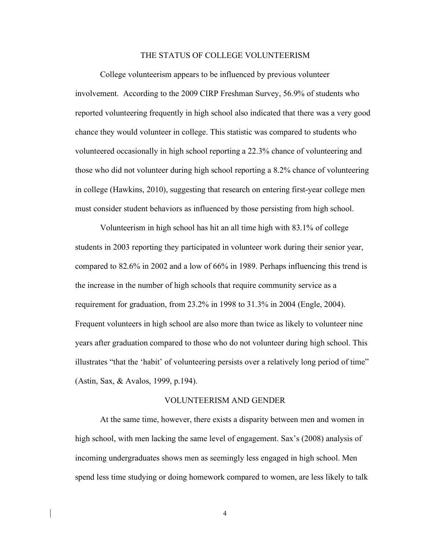#### THE STATUS OF COLLEGE VOLUNTEERISM

College volunteerism appears to be influenced by previous volunteer involvement. According to the 2009 CIRP Freshman Survey, 56.9% of students who reported volunteering frequently in high school also indicated that there was a very good chance they would volunteer in college. This statistic was compared to students who volunteered occasionally in high school reporting a 22.3% chance of volunteering and those who did not volunteer during high school reporting a 8.2% chance of volunteering in college (Hawkins, 2010), suggesting that research on entering first-year college men must consider student behaviors as influenced by those persisting from high school.

Volunteerism in high school has hit an all time high with 83.1% of college students in 2003 reporting they participated in volunteer work during their senior year, compared to 82.6% in 2002 and a low of 66% in 1989. Perhaps influencing this trend is the increase in the number of high schools that require community service as a requirement for graduation, from 23.2% in 1998 to 31.3% in 2004 (Engle, 2004). Frequent volunteers in high school are also more than twice as likely to volunteer nine years after graduation compared to those who do not volunteer during high school. This illustrates "that the 'habit' of volunteering persists over a relatively long period of time" (Astin, Sax, & Avalos, 1999, p.194).

#### VOLUNTEERISM AND GENDER

At the same time, however, there exists a disparity between men and women in high school, with men lacking the same level of engagement. Sax's (2008) analysis of incoming undergraduates shows men as seemingly less engaged in high school. Men spend less time studying or doing homework compared to women, are less likely to talk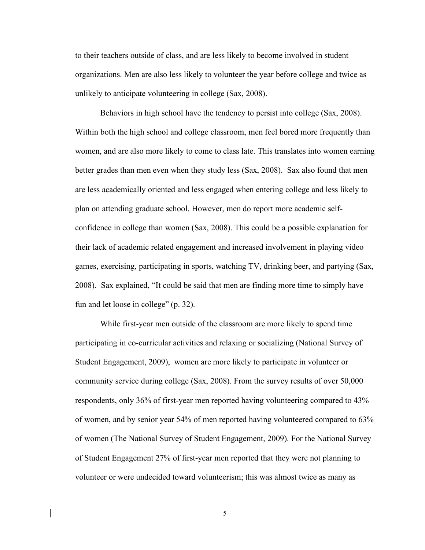to their teachers outside of class, and are less likely to become involved in student organizations. Men are also less likely to volunteer the year before college and twice as unlikely to anticipate volunteering in college (Sax, 2008).

Behaviors in high school have the tendency to persist into college (Sax, 2008). Within both the high school and college classroom, men feel bored more frequently than women, and are also more likely to come to class late. This translates into women earning better grades than men even when they study less (Sax, 2008). Sax also found that men are less academically oriented and less engaged when entering college and less likely to plan on attending graduate school. However, men do report more academic selfconfidence in college than women (Sax, 2008). This could be a possible explanation for their lack of academic related engagement and increased involvement in playing video games, exercising, participating in sports, watching TV, drinking beer, and partying (Sax, 2008). Sax explained, "It could be said that men are finding more time to simply have fun and let loose in college" (p. 32).

While first-year men outside of the classroom are more likely to spend time participating in co-curricular activities and relaxing or socializing (National Survey of Student Engagement, 2009), women are more likely to participate in volunteer or community service during college (Sax, 2008). From the survey results of over 50,000 respondents, only 36% of first-year men reported having volunteering compared to 43% of women, and by senior year 54% of men reported having volunteered compared to 63% of women (The National Survey of Student Engagement, 2009). For the National Survey of Student Engagement 27% of first-year men reported that they were not planning to volunteer or were undecided toward volunteerism; this was almost twice as many as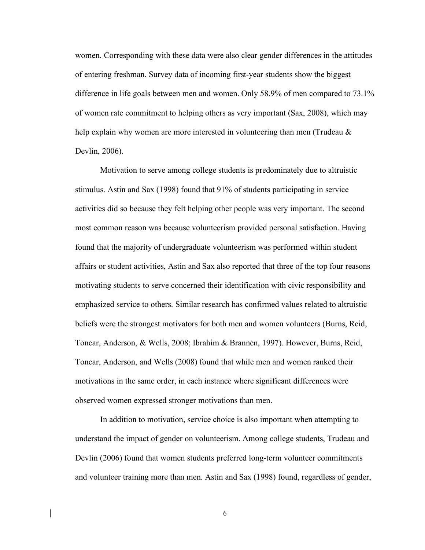women. Corresponding with these data were also clear gender differences in the attitudes of entering freshman. Survey data of incoming first-year students show the biggest difference in life goals between men and women. Only 58.9% of men compared to 73.1% of women rate commitment to helping others as very important (Sax, 2008), which may help explain why women are more interested in volunteering than men (Trudeau & Devlin, 2006).

Motivation to serve among college students is predominately due to altruistic stimulus. Astin and Sax (1998) found that 91% of students participating in service activities did so because they felt helping other people was very important. The second most common reason was because volunteerism provided personal satisfaction. Having found that the majority of undergraduate volunteerism was performed within student affairs or student activities, Astin and Sax also reported that three of the top four reasons motivating students to serve concerned their identification with civic responsibility and emphasized service to others. Similar research has confirmed values related to altruistic beliefs were the strongest motivators for both men and women volunteers (Burns, Reid, Toncar, Anderson, & Wells, 2008; Ibrahim & Brannen, 1997). However, Burns, Reid, Toncar, Anderson, and Wells (2008) found that while men and women ranked their motivations in the same order, in each instance where significant differences were observed women expressed stronger motivations than men.

In addition to motivation, service choice is also important when attempting to understand the impact of gender on volunteerism. Among college students, Trudeau and Devlin (2006) found that women students preferred long-term volunteer commitments and volunteer training more than men. Astin and Sax (1998) found, regardless of gender,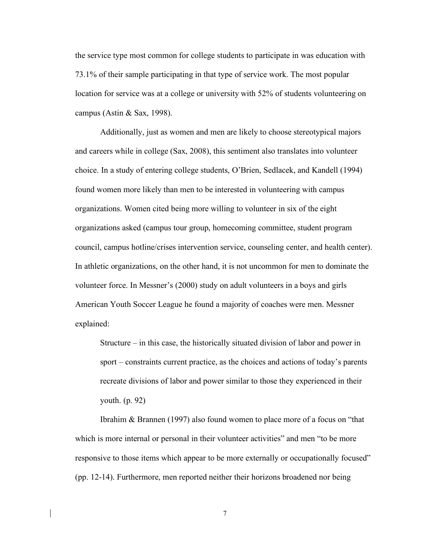the service type most common for college students to participate in was education with 73.1% of their sample participating in that type of service work. The most popular location for service was at a college or university with 52% of students volunteering on campus (Astin & Sax, 1998).

Additionally, just as women and men are likely to choose stereotypical majors and careers while in college (Sax, 2008), this sentiment also translates into volunteer choice. In a study of entering college students, O'Brien, Sedlacek, and Kandell (1994) found women more likely than men to be interested in volunteering with campus organizations. Women cited being more willing to volunteer in six of the eight organizations asked (campus tour group, homecoming committee, student program council, campus hotline/crises intervention service, counseling center, and health center). In athletic organizations, on the other hand, it is not uncommon for men to dominate the volunteer force. In Messner's (2000) study on adult volunteers in a boys and girls American Youth Soccer League he found a majority of coaches were men. Messner explained:

Structure – in this case, the historically situated division of labor and power in sport – constraints current practice, as the choices and actions of today's parents recreate divisions of labor and power similar to those they experienced in their youth. (p. 92)

Ibrahim & Brannen (1997) also found women to place more of a focus on "that which is more internal or personal in their volunteer activities" and men "to be more responsive to those items which appear to be more externally or occupationally focused" (pp. 12-14). Furthermore, men reported neither their horizons broadened nor being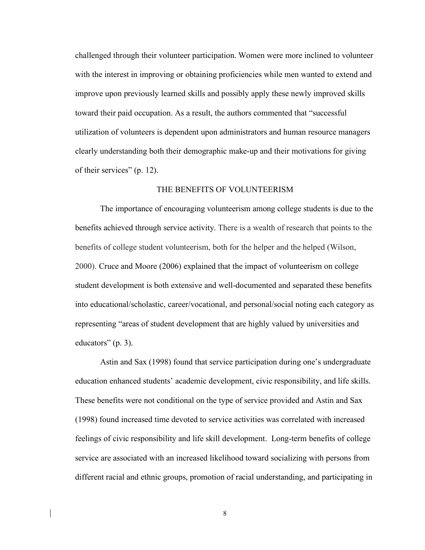challenged through their volunteer participation. Women were more inclined to volunteer with the interest in improving or obtaining proficiencies while men wanted to extend and improve upon previously learned skills and possibly apply these newly improved skills toward their paid occupation. As a result, the authors commented that "successful utilization of volunteers is dependent upon administrators and human resource managers clearly understanding both their demographic make-up and their motivations for giving of their services" (p. 12).

#### THE BENEFITS OF VOLUNTEERISM

The importance of encouraging volunteerism among college students is due to the benefits achieved through service activity. There is a wealth of research that points to the benefits of college student volunteerism, both for the helper and the helped (Wilson, 2000). Cruce and Moore (2006) explained that the impact of volunteerism on college student development is both extensive and well-documented and separated these benefits into educational/scholastic, career/vocational, and personal/social noting each category as representing "areas of student development that are highly valued by universities and educators" (p. 3).

Astin and Sax (1998) found that service participation during one's undergraduate education enhanced students' academic development, civic responsibility, and life skills. These benefits were not conditional on the type of service provided and Astin and Sax (1998) found increased time devoted to service activities was correlated with increased feelings of civic responsibility and life skill development. Long-term benefits of college service are associated with an increased likelihood toward socializing with persons from different racial and ethnic groups, promotion of racial understanding, and participating in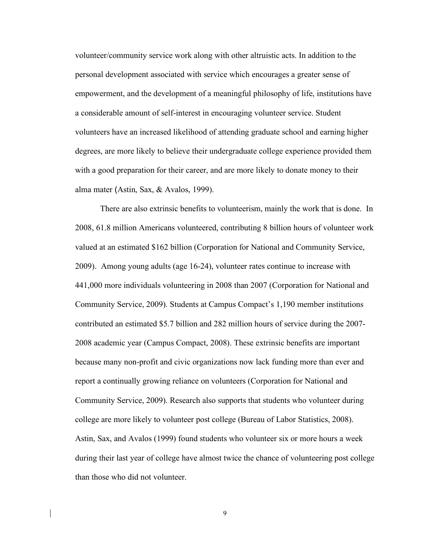volunteer/community service work along with other altruistic acts. In addition to the personal development associated with service which encourages a greater sense of empowerment, and the development of a meaningful philosophy of life, institutions have a considerable amount of self-interest in encouraging volunteer service. Student volunteers have an increased likelihood of attending graduate school and earning higher degrees, are more likely to believe their undergraduate college experience provided them with a good preparation for their career, and are more likely to donate money to their alma mater (Astin, Sax, & Avalos, 1999).

There are also extrinsic benefits to volunteerism, mainly the work that is done. In 2008, 61.8 million Americans volunteered, contributing 8 billion hours of volunteer work valued at an estimated \$162 billion (Corporation for National and Community Service, 2009). Among young adults (age 16-24), volunteer rates continue to increase with 441,000 more individuals volunteering in 2008 than 2007 (Corporation for National and Community Service, 2009). Students at Campus Compact's 1,190 member institutions contributed an estimated \$5.7 billion and 282 million hours of service during the 2007- 2008 academic year (Campus Compact, 2008). These extrinsic benefits are important because many non-profit and civic organizations now lack funding more than ever and report a continually growing reliance on volunteers (Corporation for National and Community Service, 2009). Research also supports that students who volunteer during college are more likely to volunteer post college (Bureau of Labor Statistics, 2008). Astin, Sax, and Avalos (1999) found students who volunteer six or more hours a week during their last year of college have almost twice the chance of volunteering post college than those who did not volunteer.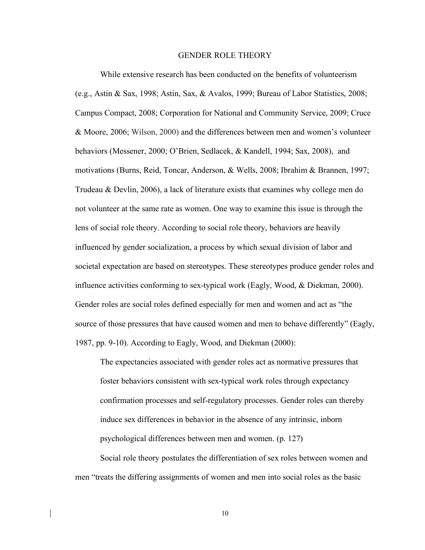#### GENDER ROLE THEORY

While extensive research has been conducted on the benefits of volunteerism (e.g., Astin & Sax, 1998; Astin, Sax, & Avalos, 1999; Bureau of Labor Statistics, 2008; Campus Compact, 2008; Corporation for National and Community Service, 2009; Cruce & Moore, 2006; Wilson, 2000) and the differences between men and women's volunteer behaviors (Messener, 2000; O'Brien, Sedlacek, & Kandell, 1994; Sax, 2008), and motivations (Burns, Reid, Toncar, Anderson, & Wells, 2008; Ibrahim & Brannen, 1997; Trudeau & Devlin, 2006), a lack of literature exists that examines why college men do not volunteer at the same rate as women. One way to examine this issue is through the lens of social role theory. According to social role theory, behaviors are heavily influenced by gender socialization, a process by which sexual division of labor and societal expectation are based on stereotypes. These stereotypes produce gender roles and influence activities conforming to sex-typical work (Eagly, Wood, & Diekman, 2000). Gender roles are social roles defined especially for men and women and act as "the source of those pressures that have caused women and men to behave differently" (Eagly, 1987, pp. 9-10). According to Eagly, Wood, and Diekman (2000):

The expectancies associated with gender roles act as normative pressures that foster behaviors consistent with sex-typical work roles through expectancy confirmation processes and self-regulatory processes. Gender roles can thereby induce sex differences in behavior in the absence of any intrinsic, inborn psychological differences between men and women. (p. 127)

Social role theory postulates the differentiation of sex roles between women and men "treats the differing assignments of women and men into social roles as the basic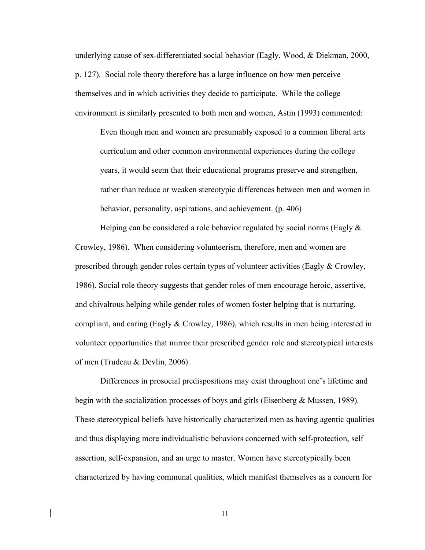underlying cause of sex-differentiated social behavior (Eagly, Wood, & Diekman, 2000, p. 127). Social role theory therefore has a large influence on how men perceive themselves and in which activities they decide to participate. While the college environment is similarly presented to both men and women, Astin (1993) commented:

Even though men and women are presumably exposed to a common liberal arts curriculum and other common environmental experiences during the college years, it would seem that their educational programs preserve and strengthen, rather than reduce or weaken stereotypic differences between men and women in behavior, personality, aspirations, and achievement. (p. 406)

Helping can be considered a role behavior regulated by social norms (Eagly  $\&$ Crowley, 1986). When considering volunteerism, therefore, men and women are prescribed through gender roles certain types of volunteer activities (Eagly & Crowley, 1986). Social role theory suggests that gender roles of men encourage heroic, assertive, and chivalrous helping while gender roles of women foster helping that is nurturing, compliant, and caring (Eagly & Crowley, 1986), which results in men being interested in volunteer opportunities that mirror their prescribed gender role and stereotypical interests of men (Trudeau & Devlin, 2006).

Differences in prosocial predispositions may exist throughout one's lifetime and begin with the socialization processes of boys and girls (Eisenberg & Mussen, 1989). These stereotypical beliefs have historically characterized men as having agentic qualities and thus displaying more individualistic behaviors concerned with self-protection, self assertion, self-expansion, and an urge to master. Women have stereotypically been characterized by having communal qualities, which manifest themselves as a concern for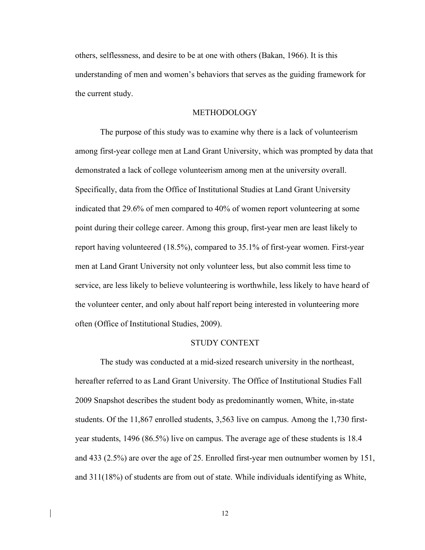others, selflessness, and desire to be at one with others (Bakan, 1966). It is this understanding of men and women's behaviors that serves as the guiding framework for the current study.

#### METHODOLOGY

The purpose of this study was to examine why there is a lack of volunteerism among first-year college men at Land Grant University, which was prompted by data that demonstrated a lack of college volunteerism among men at the university overall. Specifically, data from the Office of Institutional Studies at Land Grant University indicated that 29.6% of men compared to 40% of women report volunteering at some point during their college career. Among this group, first-year men are least likely to report having volunteered (18.5%), compared to 35.1% of first-year women. First-year men at Land Grant University not only volunteer less, but also commit less time to service, are less likely to believe volunteering is worthwhile, less likely to have heard of the volunteer center, and only about half report being interested in volunteering more often (Office of Institutional Studies, 2009).

#### STUDY CONTEXT

The study was conducted at a mid-sized research university in the northeast, hereafter referred to as Land Grant University. The Office of Institutional Studies Fall 2009 Snapshot describes the student body as predominantly women, White, in-state students. Of the 11,867 enrolled students, 3,563 live on campus. Among the 1,730 firstyear students, 1496 (86.5%) live on campus. The average age of these students is 18.4 and 433 (2.5%) are over the age of 25. Enrolled first-year men outnumber women by 151, and 311(18%) of students are from out of state. While individuals identifying as White,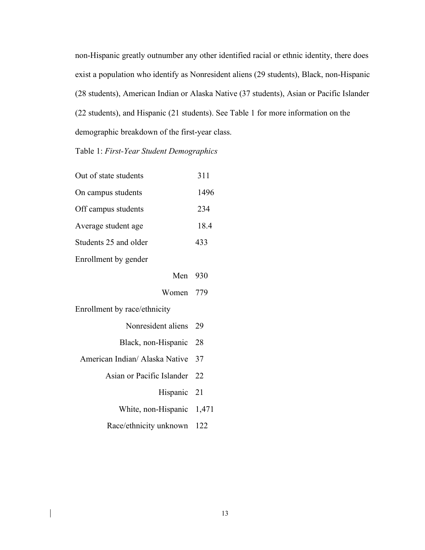non-Hispanic greatly outnumber any other identified racial or ethnic identity, there does exist a population who identify as Nonresident aliens (29 students), Black, non-Hispanic (28 students), American Indian or Alaska Native (37 students), Asian or Pacific Islander (22 students), and Hispanic (21 students). See Table 1 for more information on the demographic breakdown of the first-year class.

Table 1: *First-Year Student Demographics*

| Out of state students          | 311  |
|--------------------------------|------|
| On campus students             | 1496 |
| Off campus students            | 234  |
| Average student age            | 18.4 |
| Students 25 and older          | 433  |
| Enrollment by gender           |      |
| Men 930                        |      |
| Women 779                      |      |
| Enrollment by race/ethnicity   |      |
| Nonresident aliens             | 29   |
| Black, non-Hispanic            | 28   |
| American Indian/ Alaska Native | 37   |
| Asian or Pacific Islander      | 22   |
| Hispanic 21                    |      |
| White, non-Hispanic 1,471      |      |
| Race/ethnicity unknown         | 122  |

 $\overline{\phantom{a}}$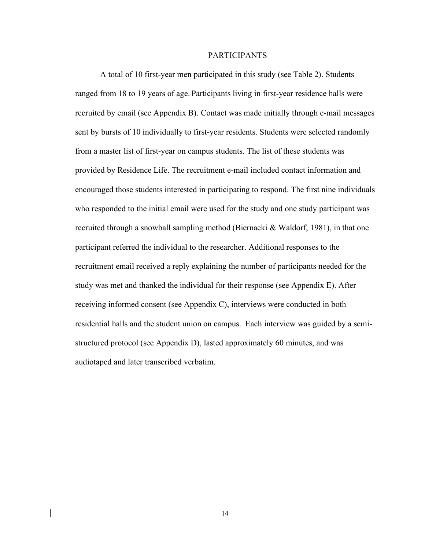#### PARTICIPANTS

A total of 10 first-year men participated in this study (see Table 2). Students ranged from 18 to 19 years of age. Participants living in first-year residence halls were recruited by email (see Appendix B). Contact was made initially through e-mail messages sent by bursts of 10 individually to first-year residents. Students were selected randomly from a master list of first-year on campus students. The list of these students was provided by Residence Life. The recruitment e-mail included contact information and encouraged those students interested in participating to respond. The first nine individuals who responded to the initial email were used for the study and one study participant was recruited through a snowball sampling method (Biernacki & Waldorf, 1981), in that one participant referred the individual to the researcher. Additional responses to the recruitment email received a reply explaining the number of participants needed for the study was met and thanked the individual for their response (see Appendix E). After receiving informed consent (see Appendix C), interviews were conducted in both residential halls and the student union on campus. Each interview was guided by a semistructured protocol (see Appendix D), lasted approximately 60 minutes, and was audiotaped and later transcribed verbatim.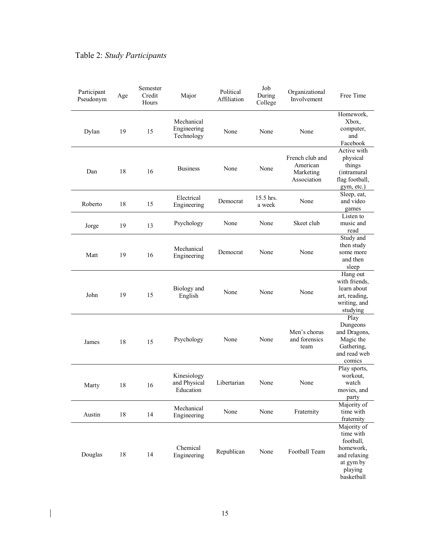$\overline{\phantom{a}}$ 

| Participant<br>Pseudonym | Age | Semester<br>Credit<br>Hours | Major                                    | Political<br>Affiliation | Job<br>During<br>College | Organizational<br>Involvement                           | Free Time                                                                                                |
|--------------------------|-----|-----------------------------|------------------------------------------|--------------------------|--------------------------|---------------------------------------------------------|----------------------------------------------------------------------------------------------------------|
| Dylan                    | 19  | 15                          | Mechanical<br>Engineering<br>Technology  | None                     | None                     | None                                                    | Homework,<br>Xbox,<br>computer,<br>and<br>Facebook                                                       |
| Dan                      | 18  | 16                          | <b>Business</b>                          | None                     | None                     | French club and<br>American<br>Marketing<br>Association | Active with<br>physical<br>things<br>(intramural<br>flag football,<br>gym, etc.)                         |
| Roberto                  | 18  | 15                          | Electrical<br>Engineering                | Democrat                 | 15.5 hrs.<br>a week      | None                                                    | Sleep, eat,<br>and video<br>games                                                                        |
| Jorge                    | 19  | 13                          | Psychology                               | None                     | None                     | Skeet club                                              | Listen to<br>music and<br>read                                                                           |
| Matt                     | 19  | 16                          | Mechanical<br>Engineering                | Democrat                 | None                     | None                                                    | Study and<br>then study<br>some more<br>and then<br>sleep                                                |
| John                     | 19  | 15                          | Biology and<br>English                   | None                     | None                     | None                                                    | Hang out<br>with friends,<br>learn about<br>art, reading,<br>writing, and<br>studying                    |
| James                    | 18  | 15                          | Psychology                               | None                     | None                     | Men's chorus<br>and forensics<br>team                   | Play<br>Dungeons<br>and Dragons,<br>Magic the<br>Gathering,<br>and read web<br>comics                    |
| Marty                    | 18  | 16                          | Kinesiology<br>and Physical<br>Education | Libertarian              | None                     | None                                                    | Play sports,<br>workout,<br>watch<br>movies, and<br>party                                                |
| Austin                   | 18  | 14                          | Mechanical<br>Engineering                | None                     | None                     | Fraternity                                              | Majority of<br>time with<br>fraternity                                                                   |
| Douglas                  | 18  | 14                          | Chemical<br>Engineering                  | Republican               | None                     | Football Team                                           | Majority of<br>time with<br>football,<br>homework,<br>and relaxing<br>at gym by<br>playing<br>basketball |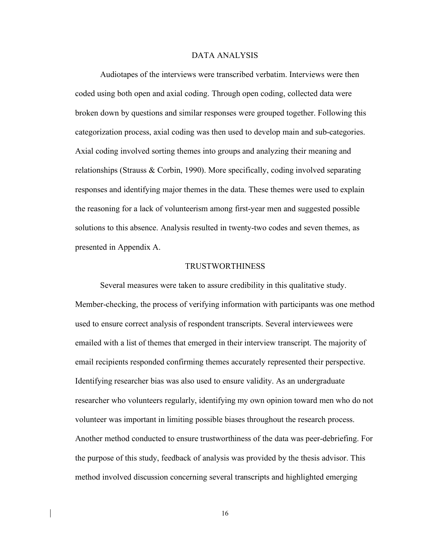#### DATA ANALYSIS

Audiotapes of the interviews were transcribed verbatim. Interviews were then coded using both open and axial coding. Through open coding, collected data were broken down by questions and similar responses were grouped together. Following this categorization process, axial coding was then used to develop main and sub-categories. Axial coding involved sorting themes into groups and analyzing their meaning and relationships (Strauss & Corbin, 1990). More specifically, coding involved separating responses and identifying major themes in the data. These themes were used to explain the reasoning for a lack of volunteerism among first-year men and suggested possible solutions to this absence. Analysis resulted in twenty-two codes and seven themes, as presented in Appendix A.

#### TRUSTWORTHINESS

Several measures were taken to assure credibility in this qualitative study. Member-checking, the process of verifying information with participants was one method used to ensure correct analysis of respondent transcripts. Several interviewees were emailed with a list of themes that emerged in their interview transcript. The majority of email recipients responded confirming themes accurately represented their perspective. Identifying researcher bias was also used to ensure validity. As an undergraduate researcher who volunteers regularly, identifying my own opinion toward men who do not volunteer was important in limiting possible biases throughout the research process. Another method conducted to ensure trustworthiness of the data was peer-debriefing. For the purpose of this study, feedback of analysis was provided by the thesis advisor. This method involved discussion concerning several transcripts and highlighted emerging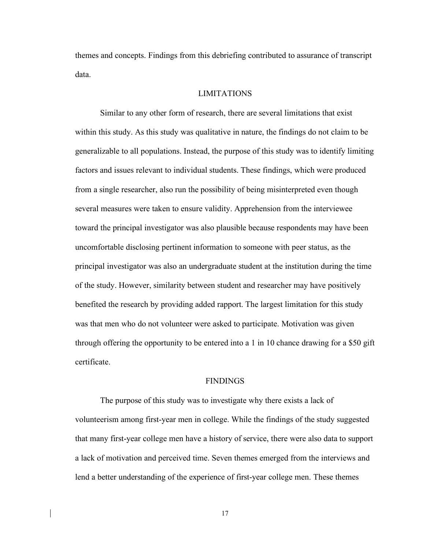themes and concepts. Findings from this debriefing contributed to assurance of transcript data.

#### LIMITATIONS

Similar to any other form of research, there are several limitations that exist within this study. As this study was qualitative in nature, the findings do not claim to be generalizable to all populations. Instead, the purpose of this study was to identify limiting factors and issues relevant to individual students. These findings, which were produced from a single researcher, also run the possibility of being misinterpreted even though several measures were taken to ensure validity. Apprehension from the interviewee toward the principal investigator was also plausible because respondents may have been uncomfortable disclosing pertinent information to someone with peer status, as the principal investigator was also an undergraduate student at the institution during the time of the study. However, similarity between student and researcher may have positively benefited the research by providing added rapport. The largest limitation for this study was that men who do not volunteer were asked to participate. Motivation was given through offering the opportunity to be entered into a 1 in 10 chance drawing for a \$50 gift certificate.

#### FINDINGS

The purpose of this study was to investigate why there exists a lack of volunteerism among first-year men in college. While the findings of the study suggested that many first-year college men have a history of service, there were also data to support a lack of motivation and perceived time. Seven themes emerged from the interviews and lend a better understanding of the experience of first-year college men. These themes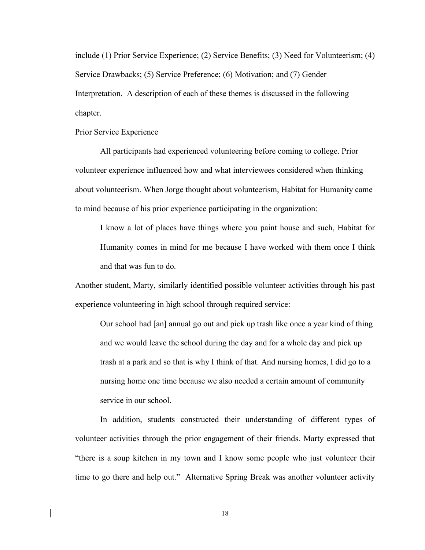include (1) Prior Service Experience; (2) Service Benefits; (3) Need for Volunteerism; (4) Service Drawbacks; (5) Service Preference; (6) Motivation; and (7) Gender Interpretation. A description of each of these themes is discussed in the following chapter.

Prior Service Experience

All participants had experienced volunteering before coming to college. Prior volunteer experience influenced how and what interviewees considered when thinking about volunteerism. When Jorge thought about volunteerism, Habitat for Humanity came to mind because of his prior experience participating in the organization:

I know a lot of places have things where you paint house and such, Habitat for Humanity comes in mind for me because I have worked with them once I think and that was fun to do.

Another student, Marty, similarly identified possible volunteer activities through his past experience volunteering in high school through required service:

Our school had [an] annual go out and pick up trash like once a year kind of thing and we would leave the school during the day and for a whole day and pick up trash at a park and so that is why I think of that. And nursing homes, I did go to a nursing home one time because we also needed a certain amount of community service in our school.

In addition, students constructed their understanding of different types of volunteer activities through the prior engagement of their friends. Marty expressed that "there is a soup kitchen in my town and I know some people who just volunteer their time to go there and help out." Alternative Spring Break was another volunteer activity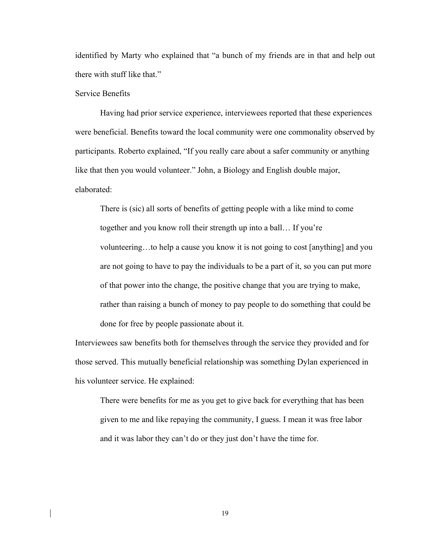identified by Marty who explained that "a bunch of my friends are in that and help out there with stuff like that."

Service Benefits

Having had prior service experience, interviewees reported that these experiences were beneficial. Benefits toward the local community were one commonality observed by participants. Roberto explained, "If you really care about a safer community or anything like that then you would volunteer." John, a Biology and English double major, elaborated:

There is (sic) all sorts of benefits of getting people with a like mind to come together and you know roll their strength up into a ball… If you're volunteering…to help a cause you know it is not going to cost [anything] and you are not going to have to pay the individuals to be a part of it, so you can put more of that power into the change, the positive change that you are trying to make, rather than raising a bunch of money to pay people to do something that could be done for free by people passionate about it.

Interviewees saw benefits both for themselves through the service they provided and for those served. This mutually beneficial relationship was something Dylan experienced in his volunteer service. He explained:

There were benefits for me as you get to give back for everything that has been given to me and like repaying the community, I guess. I mean it was free labor and it was labor they can't do or they just don't have the time for.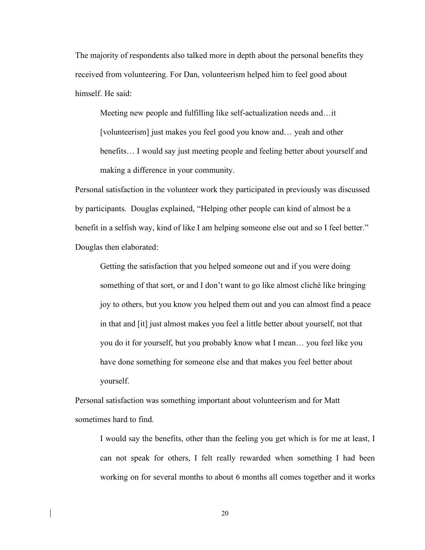The majority of respondents also talked more in depth about the personal benefits they received from volunteering. For Dan, volunteerism helped him to feel good about himself. He said:

Meeting new people and fulfilling like self-actualization needs and…it [volunteerism] just makes you feel good you know and... yeah and other benefits… I would say just meeting people and feeling better about yourself and making a difference in your community.

Personal satisfaction in the volunteer work they participated in previously was discussed by participants. Douglas explained, "Helping other people can kind of almost be a benefit in a selfish way, kind of like I am helping someone else out and so I feel better." Douglas then elaborated:

Getting the satisfaction that you helped someone out and if you were doing something of that sort, or and I don't want to go like almost cliché like bringing joy to others, but you know you helped them out and you can almost find a peace in that and [it] just almost makes you feel a little better about yourself, not that you do it for yourself, but you probably know what I mean… you feel like you have done something for someone else and that makes you feel better about yourself.

Personal satisfaction was something important about volunteerism and for Matt sometimes hard to find.

I would say the benefits, other than the feeling you get which is for me at least, I can not speak for others, I felt really rewarded when something I had been working on for several months to about 6 months all comes together and it works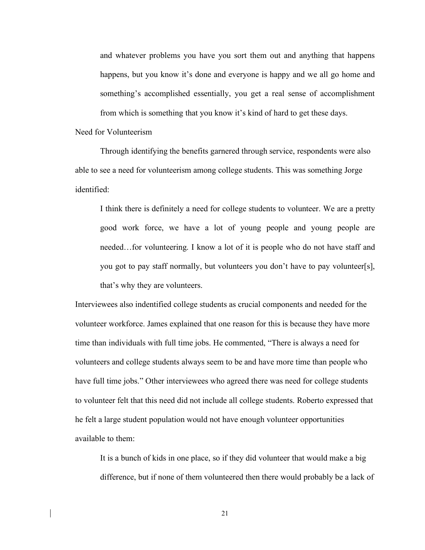and whatever problems you have you sort them out and anything that happens happens, but you know it's done and everyone is happy and we all go home and something's accomplished essentially, you get a real sense of accomplishment from which is something that you know it's kind of hard to get these days.

Need for Volunteerism

Through identifying the benefits garnered through service, respondents were also able to see a need for volunteerism among college students. This was something Jorge identified:

I think there is definitely a need for college students to volunteer. We are a pretty good work force, we have a lot of young people and young people are needed…for volunteering. I know a lot of it is people who do not have staff and you got to pay staff normally, but volunteers you don't have to pay volunteer[s], that's why they are volunteers.

Interviewees also indentified college students as crucial components and needed for the volunteer workforce. James explained that one reason for this is because they have more time than individuals with full time jobs. He commented, "There is always a need for volunteers and college students always seem to be and have more time than people who have full time jobs." Other interviewees who agreed there was need for college students to volunteer felt that this need did not include all college students. Roberto expressed that he felt a large student population would not have enough volunteer opportunities available to them:

It is a bunch of kids in one place, so if they did volunteer that would make a big difference, but if none of them volunteered then there would probably be a lack of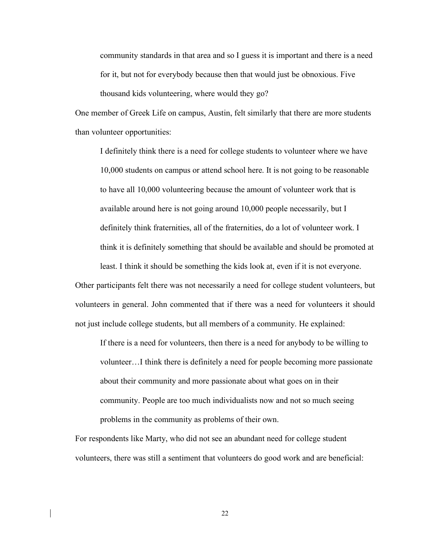community standards in that area and so I guess it is important and there is a need for it, but not for everybody because then that would just be obnoxious. Five thousand kids volunteering, where would they go?

One member of Greek Life on campus, Austin, felt similarly that there are more students than volunteer opportunities:

I definitely think there is a need for college students to volunteer where we have 10,000 students on campus or attend school here. It is not going to be reasonable to have all 10,000 volunteering because the amount of volunteer work that is available around here is not going around 10,000 people necessarily, but I definitely think fraternities, all of the fraternities, do a lot of volunteer work. I think it is definitely something that should be available and should be promoted at least. I think it should be something the kids look at, even if it is not everyone.

Other participants felt there was not necessarily a need for college student volunteers, but volunteers in general. John commented that if there was a need for volunteers it should not just include college students, but all members of a community. He explained:

If there is a need for volunteers, then there is a need for anybody to be willing to volunteer…I think there is definitely a need for people becoming more passionate about their community and more passionate about what goes on in their community. People are too much individualists now and not so much seeing problems in the community as problems of their own.

For respondents like Marty, who did not see an abundant need for college student volunteers, there was still a sentiment that volunteers do good work and are beneficial: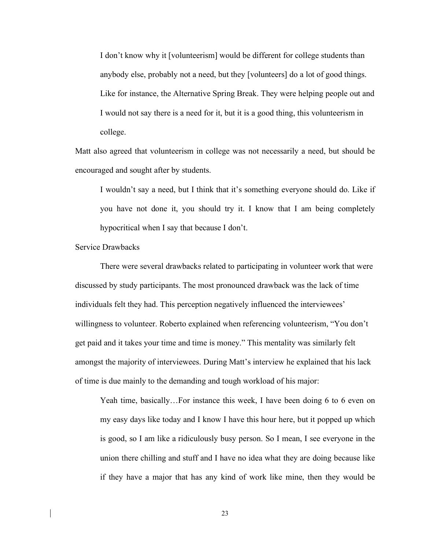I don't know why it [volunteerism] would be different for college students than anybody else, probably not a need, but they [volunteers] do a lot of good things. Like for instance, the Alternative Spring Break. They were helping people out and I would not say there is a need for it, but it is a good thing, this volunteerism in college.

Matt also agreed that volunteerism in college was not necessarily a need, but should be encouraged and sought after by students.

I wouldn't say a need, but I think that it's something everyone should do. Like if you have not done it, you should try it. I know that I am being completely hypocritical when I say that because I don't.

Service Drawbacks

There were several drawbacks related to participating in volunteer work that were discussed by study participants. The most pronounced drawback was the lack of time individuals felt they had. This perception negatively influenced the interviewees' willingness to volunteer. Roberto explained when referencing volunteerism, "You don't get paid and it takes your time and time is money." This mentality was similarly felt amongst the majority of interviewees. During Matt's interview he explained that his lack of time is due mainly to the demanding and tough workload of his major:

Yeah time, basically…For instance this week, I have been doing 6 to 6 even on my easy days like today and I know I have this hour here, but it popped up which is good, so I am like a ridiculously busy person. So I mean, I see everyone in the union there chilling and stuff and I have no idea what they are doing because like if they have a major that has any kind of work like mine, then they would be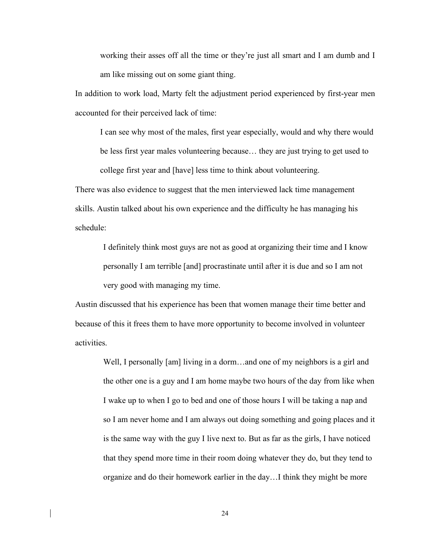working their asses off all the time or they're just all smart and I am dumb and I am like missing out on some giant thing.

In addition to work load, Marty felt the adjustment period experienced by first-year men accounted for their perceived lack of time:

I can see why most of the males, first year especially, would and why there would be less first year males volunteering because… they are just trying to get used to college first year and [have] less time to think about volunteering.

There was also evidence to suggest that the men interviewed lack time management skills. Austin talked about his own experience and the difficulty he has managing his schedule:

I definitely think most guys are not as good at organizing their time and I know personally I am terrible [and] procrastinate until after it is due and so I am not very good with managing my time.

Austin discussed that his experience has been that women manage their time better and because of this it frees them to have more opportunity to become involved in volunteer activities.

Well, I personally [am] living in a dorm...and one of my neighbors is a girl and the other one is a guy and I am home maybe two hours of the day from like when I wake up to when I go to bed and one of those hours I will be taking a nap and so I am never home and I am always out doing something and going places and it is the same way with the guy I live next to. But as far as the girls, I have noticed that they spend more time in their room doing whatever they do, but they tend to organize and do their homework earlier in the day…I think they might be more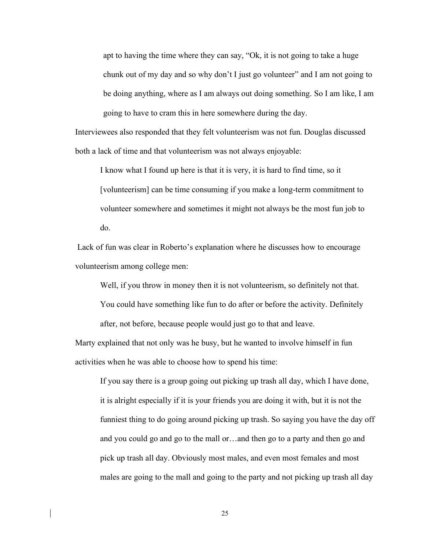apt to having the time where they can say, "Ok, it is not going to take a huge chunk out of my day and so why don't I just go volunteer" and I am not going to be doing anything, where as I am always out doing something. So I am like, I am going to have to cram this in here somewhere during the day.

Interviewees also responded that they felt volunteerism was not fun. Douglas discussed both a lack of time and that volunteerism was not always enjoyable:

I know what I found up here is that it is very, it is hard to find time, so it [volunteerism] can be time consuming if you make a long-term commitment to volunteer somewhere and sometimes it might not always be the most fun job to do.

Lack of fun was clear in Roberto's explanation where he discusses how to encourage volunteerism among college men:

Well, if you throw in money then it is not volunteerism, so definitely not that.

You could have something like fun to do after or before the activity. Definitely after, not before, because people would just go to that and leave.

Marty explained that not only was he busy, but he wanted to involve himself in fun activities when he was able to choose how to spend his time:

If you say there is a group going out picking up trash all day, which I have done, it is alright especially if it is your friends you are doing it with, but it is not the funniest thing to do going around picking up trash. So saying you have the day off and you could go and go to the mall or…and then go to a party and then go and pick up trash all day. Obviously most males, and even most females and most males are going to the mall and going to the party and not picking up trash all day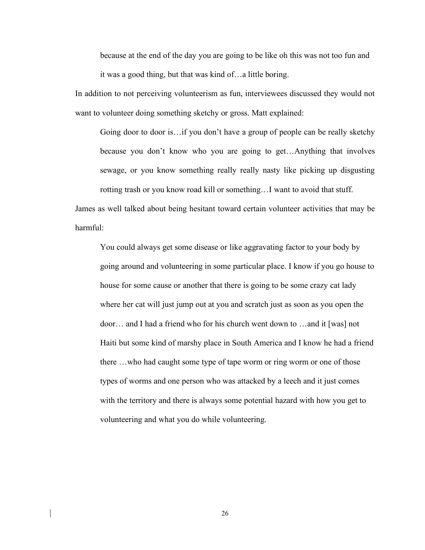because at the end of the day you are going to be like oh this was not too fun and it was a good thing, but that was kind of…a little boring.

In addition to not perceiving volunteerism as fun, interviewees discussed they would not want to volunteer doing something sketchy or gross. Matt explained:

Going door to door is…if you don't have a group of people can be really sketchy because you don't know who you are going to get…Anything that involves sewage, or you know something really really nasty like picking up disgusting rotting trash or you know road kill or something…I want to avoid that stuff.

James as well talked about being hesitant toward certain volunteer activities that may be harmful:

You could always get some disease or like aggravating factor to your body by going around and volunteering in some particular place. I know if you go house to house for some cause or another that there is going to be some crazy cat lady where her cat will just jump out at you and scratch just as soon as you open the door… and I had a friend who for his church went down to …and it [was] not Haiti but some kind of marshy place in South America and I know he had a friend there …who had caught some type of tape worm or ring worm or one of those types of worms and one person who was attacked by a leech and it just comes with the territory and there is always some potential hazard with how you get to volunteering and what you do while volunteering.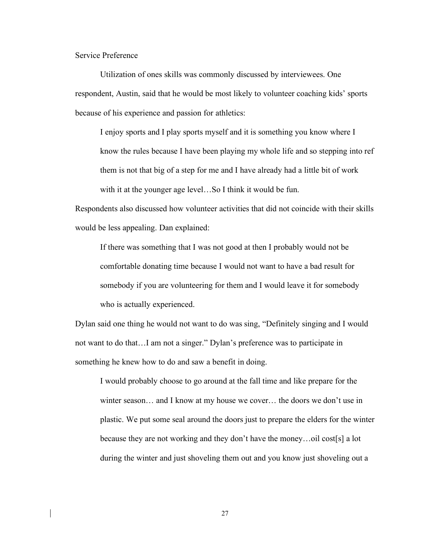Service Preference

Utilization of ones skills was commonly discussed by interviewees. One respondent, Austin, said that he would be most likely to volunteer coaching kids' sports because of his experience and passion for athletics:

I enjoy sports and I play sports myself and it is something you know where I know the rules because I have been playing my whole life and so stepping into ref them is not that big of a step for me and I have already had a little bit of work with it at the younger age level…So I think it would be fun.

Respondents also discussed how volunteer activities that did not coincide with their skills would be less appealing. Dan explained:

If there was something that I was not good at then I probably would not be comfortable donating time because I would not want to have a bad result for somebody if you are volunteering for them and I would leave it for somebody who is actually experienced.

Dylan said one thing he would not want to do was sing, "Definitely singing and I would not want to do that…I am not a singer." Dylan's preference was to participate in something he knew how to do and saw a benefit in doing.

I would probably choose to go around at the fall time and like prepare for the winter season… and I know at my house we cover… the doors we don't use in plastic. We put some seal around the doors just to prepare the elders for the winter because they are not working and they don't have the money…oil cost[s] a lot during the winter and just shoveling them out and you know just shoveling out a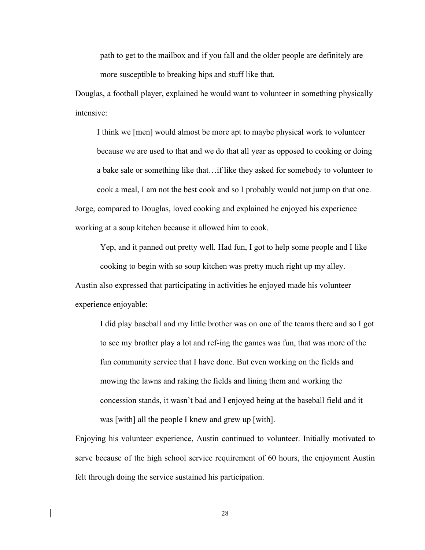path to get to the mailbox and if you fall and the older people are definitely are more susceptible to breaking hips and stuff like that.

Douglas, a football player, explained he would want to volunteer in something physically intensive:

I think we [men] would almost be more apt to maybe physical work to volunteer because we are used to that and we do that all year as opposed to cooking or doing a bake sale or something like that…if like they asked for somebody to volunteer to cook a meal, I am not the best cook and so I probably would not jump on that one. Jorge, compared to Douglas, loved cooking and explained he enjoyed his experience working at a soup kitchen because it allowed him to cook.

Yep, and it panned out pretty well. Had fun, I got to help some people and I like cooking to begin with so soup kitchen was pretty much right up my alley. Austin also expressed that participating in activities he enjoyed made his volunteer experience enjoyable:

I did play baseball and my little brother was on one of the teams there and so I got to see my brother play a lot and ref-ing the games was fun, that was more of the fun community service that I have done. But even working on the fields and mowing the lawns and raking the fields and lining them and working the concession stands, it wasn't bad and I enjoyed being at the baseball field and it was [with] all the people I knew and grew up [with].

Enjoying his volunteer experience, Austin continued to volunteer. Initially motivated to serve because of the high school service requirement of 60 hours, the enjoyment Austin felt through doing the service sustained his participation.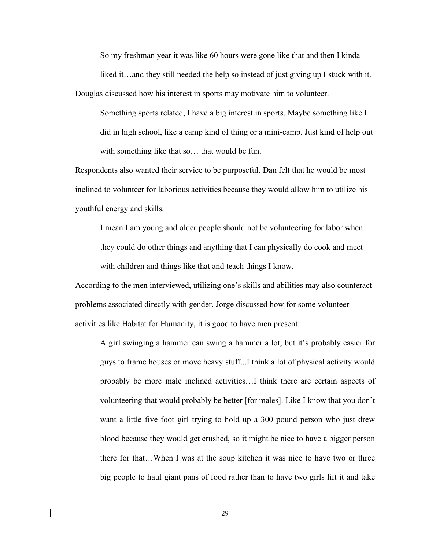So my freshman year it was like 60 hours were gone like that and then I kinda liked it…and they still needed the help so instead of just giving up I stuck with it. Douglas discussed how his interest in sports may motivate him to volunteer.

Something sports related, I have a big interest in sports. Maybe something like I did in high school, like a camp kind of thing or a mini-camp. Just kind of help out with something like that so... that would be fun.

Respondents also wanted their service to be purposeful. Dan felt that he would be most inclined to volunteer for laborious activities because they would allow him to utilize his youthful energy and skills.

I mean I am young and older people should not be volunteering for labor when they could do other things and anything that I can physically do cook and meet with children and things like that and teach things I know.

According to the men interviewed, utilizing one's skills and abilities may also counteract problems associated directly with gender. Jorge discussed how for some volunteer activities like Habitat for Humanity, it is good to have men present:

A girl swinging a hammer can swing a hammer a lot, but it's probably easier for guys to frame houses or move heavy stuff...I think a lot of physical activity would probably be more male inclined activities…I think there are certain aspects of volunteering that would probably be better [for males]. Like I know that you don't want a little five foot girl trying to hold up a 300 pound person who just drew blood because they would get crushed, so it might be nice to have a bigger person there for that…When I was at the soup kitchen it was nice to have two or three big people to haul giant pans of food rather than to have two girls lift it and take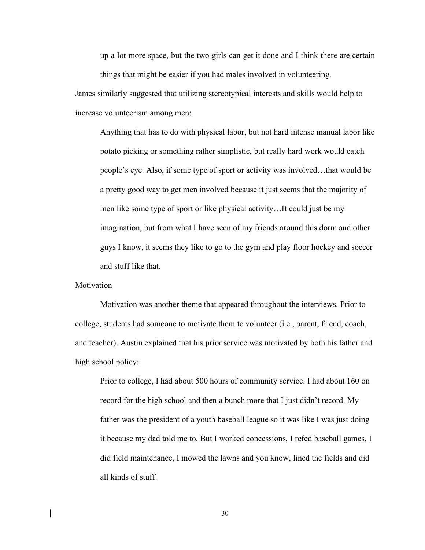up a lot more space, but the two girls can get it done and I think there are certain things that might be easier if you had males involved in volunteering.

James similarly suggested that utilizing stereotypical interests and skills would help to increase volunteerism among men:

Anything that has to do with physical labor, but not hard intense manual labor like potato picking or something rather simplistic, but really hard work would catch people's eye. Also, if some type of sport or activity was involved…that would be a pretty good way to get men involved because it just seems that the majority of men like some type of sport or like physical activity…It could just be my imagination, but from what I have seen of my friends around this dorm and other guys I know, it seems they like to go to the gym and play floor hockey and soccer and stuff like that.

**Motivation** 

Motivation was another theme that appeared throughout the interviews. Prior to college, students had someone to motivate them to volunteer (i.e., parent, friend, coach, and teacher). Austin explained that his prior service was motivated by both his father and high school policy:

Prior to college, I had about 500 hours of community service. I had about 160 on record for the high school and then a bunch more that I just didn't record. My father was the president of a youth baseball league so it was like I was just doing it because my dad told me to. But I worked concessions, I refed baseball games, I did field maintenance, I mowed the lawns and you know, lined the fields and did all kinds of stuff.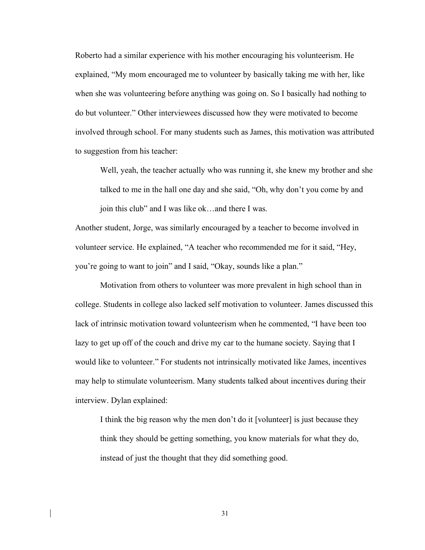Roberto had a similar experience with his mother encouraging his volunteerism. He explained, "My mom encouraged me to volunteer by basically taking me with her, like when she was volunteering before anything was going on. So I basically had nothing to do but volunteer." Other interviewees discussed how they were motivated to become involved through school. For many students such as James, this motivation was attributed to suggestion from his teacher:

Well, yeah, the teacher actually who was running it, she knew my brother and she talked to me in the hall one day and she said, "Oh, why don't you come by and join this club" and I was like ok…and there I was.

Another student, Jorge, was similarly encouraged by a teacher to become involved in volunteer service. He explained, "A teacher who recommended me for it said, "Hey, you're going to want to join" and I said, "Okay, sounds like a plan."

Motivation from others to volunteer was more prevalent in high school than in college. Students in college also lacked self motivation to volunteer. James discussed this lack of intrinsic motivation toward volunteerism when he commented, "I have been too lazy to get up off of the couch and drive my car to the humane society. Saying that I would like to volunteer." For students not intrinsically motivated like James, incentives may help to stimulate volunteerism. Many students talked about incentives during their interview. Dylan explained:

I think the big reason why the men don't do it [volunteer] is just because they think they should be getting something, you know materials for what they do, instead of just the thought that they did something good.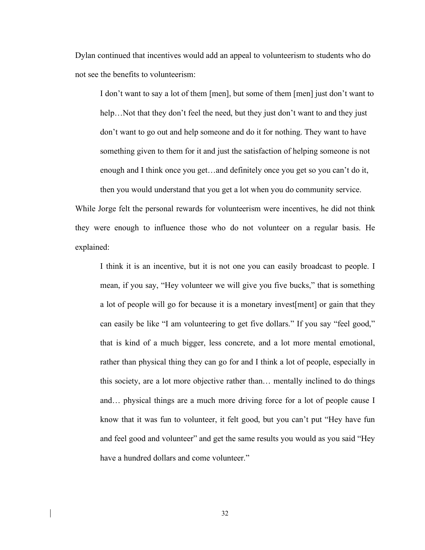Dylan continued that incentives would add an appeal to volunteerism to students who do not see the benefits to volunteerism:

I don't want to say a lot of them [men], but some of them [men] just don't want to help...Not that they don't feel the need, but they just don't want to and they just don't want to go out and help someone and do it for nothing. They want to have something given to them for it and just the satisfaction of helping someone is not enough and I think once you get…and definitely once you get so you can't do it, then you would understand that you get a lot when you do community service.

While Jorge felt the personal rewards for volunteerism were incentives, he did not think they were enough to influence those who do not volunteer on a regular basis. He explained:

I think it is an incentive, but it is not one you can easily broadcast to people. I mean, if you say, "Hey volunteer we will give you five bucks," that is something a lot of people will go for because it is a monetary invest[ment] or gain that they can easily be like "I am volunteering to get five dollars." If you say "feel good," that is kind of a much bigger, less concrete, and a lot more mental emotional, rather than physical thing they can go for and I think a lot of people, especially in this society, are a lot more objective rather than… mentally inclined to do things and… physical things are a much more driving force for a lot of people cause I know that it was fun to volunteer, it felt good, but you can't put "Hey have fun and feel good and volunteer" and get the same results you would as you said "Hey have a hundred dollars and come volunteer."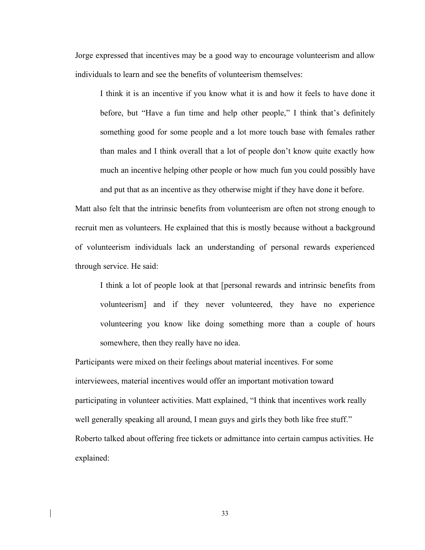Jorge expressed that incentives may be a good way to encourage volunteerism and allow individuals to learn and see the benefits of volunteerism themselves:

I think it is an incentive if you know what it is and how it feels to have done it before, but "Have a fun time and help other people," I think that's definitely something good for some people and a lot more touch base with females rather than males and I think overall that a lot of people don't know quite exactly how much an incentive helping other people or how much fun you could possibly have and put that as an incentive as they otherwise might if they have done it before.

Matt also felt that the intrinsic benefits from volunteerism are often not strong enough to recruit men as volunteers. He explained that this is mostly because without a background of volunteerism individuals lack an understanding of personal rewards experienced through service. He said:

I think a lot of people look at that [personal rewards and intrinsic benefits from volunteerism] and if they never volunteered, they have no experience volunteering you know like doing something more than a couple of hours somewhere, then they really have no idea.

Participants were mixed on their feelings about material incentives. For some interviewees, material incentives would offer an important motivation toward participating in volunteer activities. Matt explained, "I think that incentives work really well generally speaking all around, I mean guys and girls they both like free stuff." Roberto talked about offering free tickets or admittance into certain campus activities. He explained: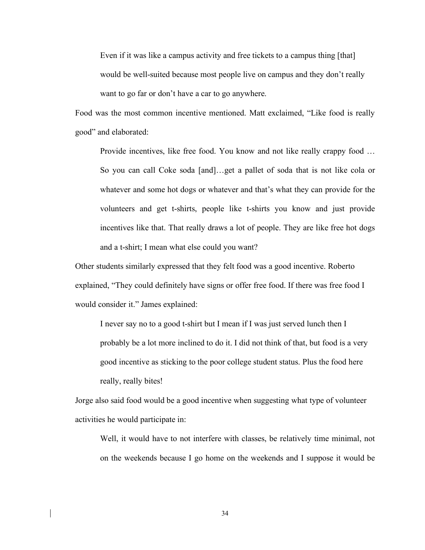Even if it was like a campus activity and free tickets to a campus thing [that] would be well-suited because most people live on campus and they don't really want to go far or don't have a car to go anywhere.

Food was the most common incentive mentioned. Matt exclaimed, "Like food is really good" and elaborated:

Provide incentives, like free food. You know and not like really crappy food … So you can call Coke soda [and]…get a pallet of soda that is not like cola or whatever and some hot dogs or whatever and that's what they can provide for the volunteers and get t-shirts, people like t-shirts you know and just provide incentives like that. That really draws a lot of people. They are like free hot dogs and a t-shirt; I mean what else could you want?

Other students similarly expressed that they felt food was a good incentive. Roberto explained, "They could definitely have signs or offer free food. If there was free food I would consider it." James explained:

I never say no to a good t-shirt but I mean if I was just served lunch then I probably be a lot more inclined to do it. I did not think of that, but food is a very good incentive as sticking to the poor college student status. Plus the food here really, really bites!

Jorge also said food would be a good incentive when suggesting what type of volunteer activities he would participate in:

Well, it would have to not interfere with classes, be relatively time minimal, not on the weekends because I go home on the weekends and I suppose it would be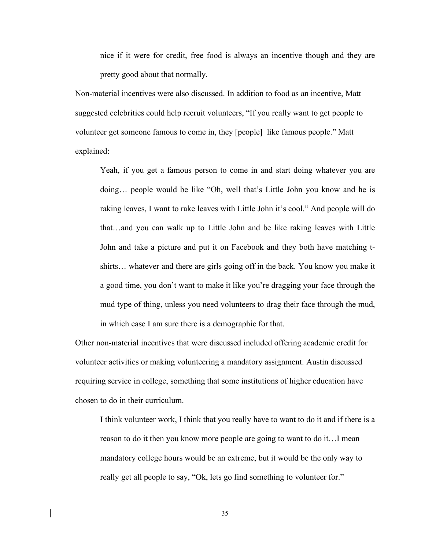nice if it were for credit, free food is always an incentive though and they are pretty good about that normally.

Non-material incentives were also discussed. In addition to food as an incentive, Matt suggested celebrities could help recruit volunteers, "If you really want to get people to volunteer get someone famous to come in, they [people] like famous people." Matt explained:

Yeah, if you get a famous person to come in and start doing whatever you are doing… people would be like "Oh, well that's Little John you know and he is raking leaves, I want to rake leaves with Little John it's cool." And people will do that…and you can walk up to Little John and be like raking leaves with Little John and take a picture and put it on Facebook and they both have matching tshirts… whatever and there are girls going off in the back. You know you make it a good time, you don't want to make it like you're dragging your face through the mud type of thing, unless you need volunteers to drag their face through the mud, in which case I am sure there is a demographic for that.

Other non-material incentives that were discussed included offering academic credit for volunteer activities or making volunteering a mandatory assignment. Austin discussed requiring service in college, something that some institutions of higher education have chosen to do in their curriculum.

I think volunteer work, I think that you really have to want to do it and if there is a reason to do it then you know more people are going to want to do it…I mean mandatory college hours would be an extreme, but it would be the only way to really get all people to say, "Ok, lets go find something to volunteer for."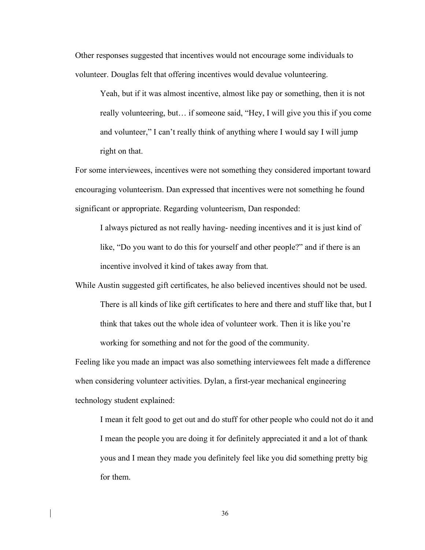Other responses suggested that incentives would not encourage some individuals to volunteer. Douglas felt that offering incentives would devalue volunteering.

Yeah, but if it was almost incentive, almost like pay or something, then it is not really volunteering, but… if someone said, "Hey, I will give you this if you come and volunteer," I can't really think of anything where I would say I will jump right on that.

For some interviewees, incentives were not something they considered important toward encouraging volunteerism. Dan expressed that incentives were not something he found significant or appropriate. Regarding volunteerism, Dan responded:

I always pictured as not really having- needing incentives and it is just kind of like, "Do you want to do this for yourself and other people?" and if there is an incentive involved it kind of takes away from that.

While Austin suggested gift certificates, he also believed incentives should not be used. There is all kinds of like gift certificates to here and there and stuff like that, but I think that takes out the whole idea of volunteer work. Then it is like you're working for something and not for the good of the community.

Feeling like you made an impact was also something interviewees felt made a difference when considering volunteer activities. Dylan, a first-year mechanical engineering technology student explained:

I mean it felt good to get out and do stuff for other people who could not do it and I mean the people you are doing it for definitely appreciated it and a lot of thank yous and I mean they made you definitely feel like you did something pretty big for them.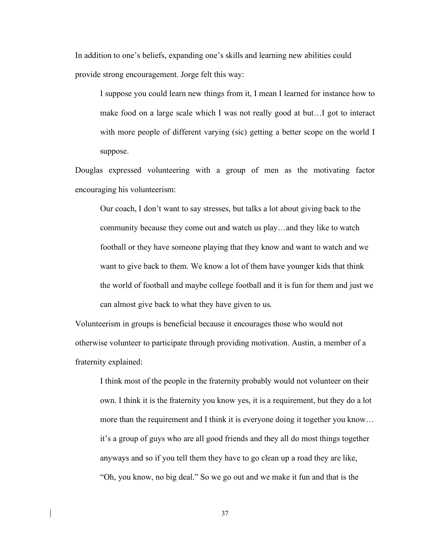In addition to one's beliefs, expanding one's skills and learning new abilities could provide strong encouragement. Jorge felt this way:

I suppose you could learn new things from it, I mean I learned for instance how to make food on a large scale which I was not really good at but…I got to interact with more people of different varying (sic) getting a better scope on the world I suppose.

Douglas expressed volunteering with a group of men as the motivating factor encouraging his volunteerism:

Our coach, I don't want to say stresses, but talks a lot about giving back to the community because they come out and watch us play…and they like to watch football or they have someone playing that they know and want to watch and we want to give back to them. We know a lot of them have younger kids that think the world of football and maybe college football and it is fun for them and just we can almost give back to what they have given to us.

Volunteerism in groups is beneficial because it encourages those who would not otherwise volunteer to participate through providing motivation. Austin, a member of a fraternity explained:

I think most of the people in the fraternity probably would not volunteer on their own. I think it is the fraternity you know yes, it is a requirement, but they do a lot more than the requirement and I think it is everyone doing it together you know… it's a group of guys who are all good friends and they all do most things together anyways and so if you tell them they have to go clean up a road they are like, "Oh, you know, no big deal." So we go out and we make it fun and that is the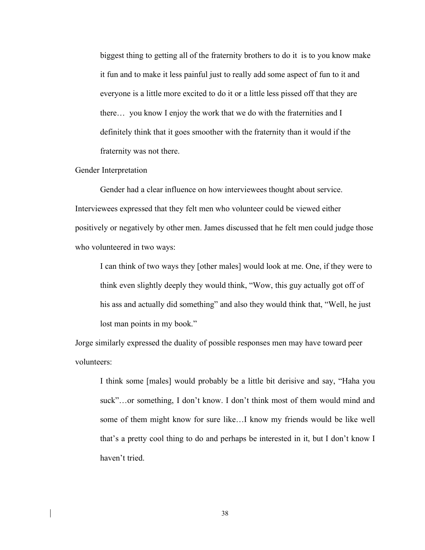biggest thing to getting all of the fraternity brothers to do it is to you know make it fun and to make it less painful just to really add some aspect of fun to it and everyone is a little more excited to do it or a little less pissed off that they are there… you know I enjoy the work that we do with the fraternities and I definitely think that it goes smoother with the fraternity than it would if the fraternity was not there.

### Gender Interpretation

Gender had a clear influence on how interviewees thought about service. Interviewees expressed that they felt men who volunteer could be viewed either positively or negatively by other men. James discussed that he felt men could judge those who volunteered in two ways:

I can think of two ways they [other males] would look at me. One, if they were to think even slightly deeply they would think, "Wow, this guy actually got off of his ass and actually did something" and also they would think that, "Well, he just lost man points in my book."

Jorge similarly expressed the duality of possible responses men may have toward peer volunteers:

I think some [males] would probably be a little bit derisive and say, "Haha you suck"…or something, I don't know. I don't think most of them would mind and some of them might know for sure like…I know my friends would be like well that's a pretty cool thing to do and perhaps be interested in it, but I don't know I haven't tried.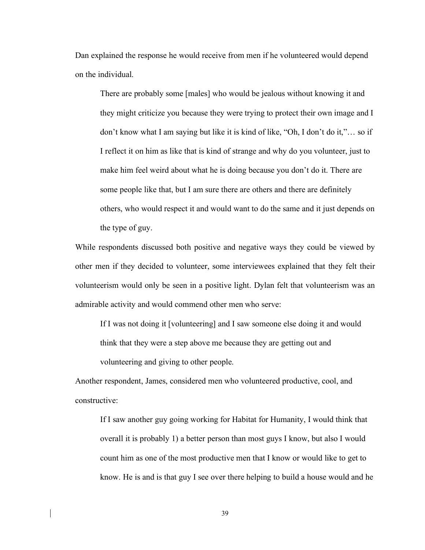Dan explained the response he would receive from men if he volunteered would depend on the individual.

There are probably some [males] who would be jealous without knowing it and they might criticize you because they were trying to protect their own image and I don't know what I am saying but like it is kind of like, "Oh, I don't do it,"… so if I reflect it on him as like that is kind of strange and why do you volunteer, just to make him feel weird about what he is doing because you don't do it. There are some people like that, but I am sure there are others and there are definitely others, who would respect it and would want to do the same and it just depends on the type of guy.

While respondents discussed both positive and negative ways they could be viewed by other men if they decided to volunteer, some interviewees explained that they felt their volunteerism would only be seen in a positive light. Dylan felt that volunteerism was an admirable activity and would commend other men who serve:

If I was not doing it [volunteering] and I saw someone else doing it and would think that they were a step above me because they are getting out and volunteering and giving to other people.

Another respondent, James, considered men who volunteered productive, cool, and constructive:

If I saw another guy going working for Habitat for Humanity, I would think that overall it is probably 1) a better person than most guys I know, but also I would count him as one of the most productive men that I know or would like to get to know. He is and is that guy I see over there helping to build a house would and he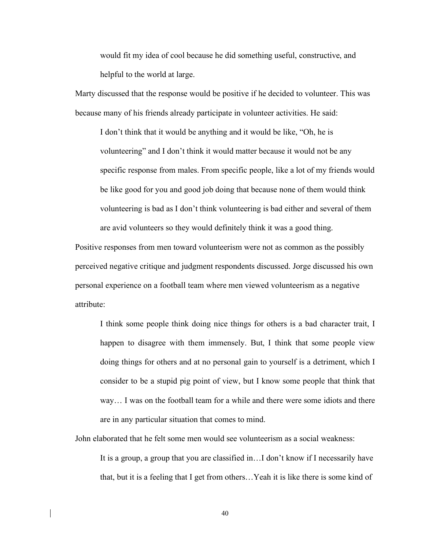would fit my idea of cool because he did something useful, constructive, and helpful to the world at large.

Marty discussed that the response would be positive if he decided to volunteer. This was because many of his friends already participate in volunteer activities. He said:

I don't think that it would be anything and it would be like, "Oh, he is volunteering" and I don't think it would matter because it would not be any specific response from males. From specific people, like a lot of my friends would be like good for you and good job doing that because none of them would think volunteering is bad as I don't think volunteering is bad either and several of them are avid volunteers so they would definitely think it was a good thing.

Positive responses from men toward volunteerism were not as common as the possibly perceived negative critique and judgment respondents discussed. Jorge discussed his own personal experience on a football team where men viewed volunteerism as a negative attribute:

I think some people think doing nice things for others is a bad character trait, I happen to disagree with them immensely. But, I think that some people view doing things for others and at no personal gain to yourself is a detriment, which I consider to be a stupid pig point of view, but I know some people that think that way… I was on the football team for a while and there were some idiots and there are in any particular situation that comes to mind.

John elaborated that he felt some men would see volunteerism as a social weakness:

It is a group, a group that you are classified in…I don't know if I necessarily have that, but it is a feeling that I get from others…Yeah it is like there is some kind of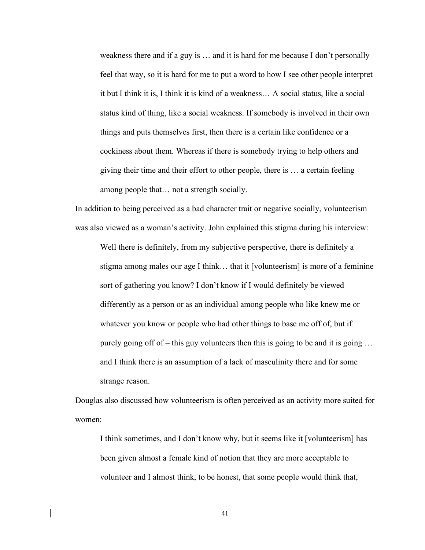weakness there and if a guy is … and it is hard for me because I don't personally feel that way, so it is hard for me to put a word to how I see other people interpret it but I think it is, I think it is kind of a weakness… A social status, like a social status kind of thing, like a social weakness. If somebody is involved in their own things and puts themselves first, then there is a certain like confidence or a cockiness about them. Whereas if there is somebody trying to help others and giving their time and their effort to other people, there is … a certain feeling among people that… not a strength socially.

In addition to being perceived as a bad character trait or negative socially, volunteerism was also viewed as a woman's activity. John explained this stigma during his interview:

Well there is definitely, from my subjective perspective, there is definitely a stigma among males our age I think… that it [volunteerism] is more of a feminine sort of gathering you know? I don't know if I would definitely be viewed differently as a person or as an individual among people who like knew me or whatever you know or people who had other things to base me off of, but if purely going off of – this guy volunteers then this is going to be and it is going  $\ldots$ and I think there is an assumption of a lack of masculinity there and for some strange reason.

Douglas also discussed how volunteerism is often perceived as an activity more suited for women:

I think sometimes, and I don't know why, but it seems like it [volunteerism] has been given almost a female kind of notion that they are more acceptable to volunteer and I almost think, to be honest, that some people would think that,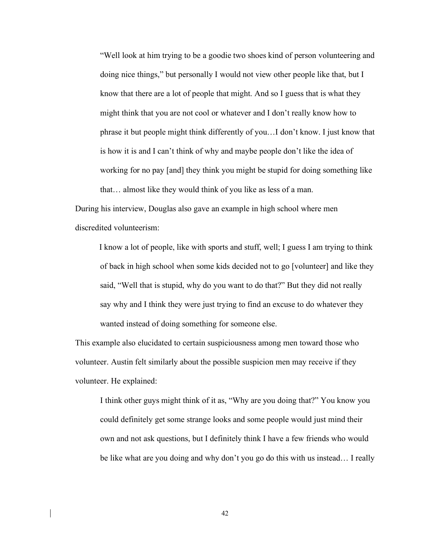"Well look at him trying to be a goodie two shoes kind of person volunteering and doing nice things," but personally I would not view other people like that, but I know that there are a lot of people that might. And so I guess that is what they might think that you are not cool or whatever and I don't really know how to phrase it but people might think differently of you…I don't know. I just know that is how it is and I can't think of why and maybe people don't like the idea of working for no pay [and] they think you might be stupid for doing something like that… almost like they would think of you like as less of a man.

During his interview, Douglas also gave an example in high school where men discredited volunteerism:

 I know a lot of people, like with sports and stuff, well; I guess I am trying to think of back in high school when some kids decided not to go [volunteer] and like they said, "Well that is stupid, why do you want to do that?" But they did not really say why and I think they were just trying to find an excuse to do whatever they wanted instead of doing something for someone else.

This example also elucidated to certain suspiciousness among men toward those who volunteer. Austin felt similarly about the possible suspicion men may receive if they volunteer. He explained:

I think other guys might think of it as, "Why are you doing that?" You know you could definitely get some strange looks and some people would just mind their own and not ask questions, but I definitely think I have a few friends who would be like what are you doing and why don't you go do this with us instead… I really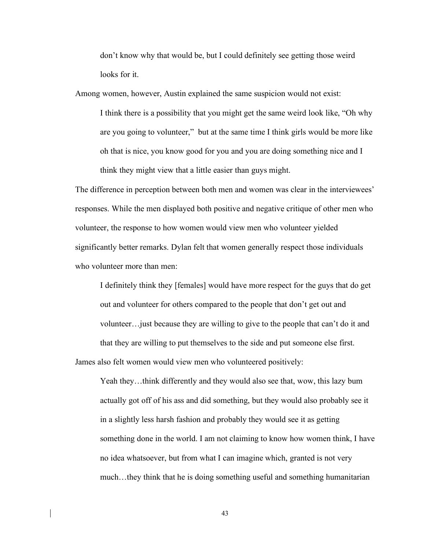don't know why that would be, but I could definitely see getting those weird looks for it.

Among women, however, Austin explained the same suspicion would not exist:

I think there is a possibility that you might get the same weird look like, "Oh why are you going to volunteer," but at the same time I think girls would be more like oh that is nice, you know good for you and you are doing something nice and I think they might view that a little easier than guys might.

The difference in perception between both men and women was clear in the interviewees' responses. While the men displayed both positive and negative critique of other men who volunteer, the response to how women would view men who volunteer yielded significantly better remarks. Dylan felt that women generally respect those individuals who volunteer more than men:

I definitely think they [females] would have more respect for the guys that do get out and volunteer for others compared to the people that don't get out and volunteer…just because they are willing to give to the people that can't do it and that they are willing to put themselves to the side and put someone else first. James also felt women would view men who volunteered positively:

Yeah they…think differently and they would also see that, wow, this lazy bum actually got off of his ass and did something, but they would also probably see it in a slightly less harsh fashion and probably they would see it as getting something done in the world. I am not claiming to know how women think, I have no idea whatsoever, but from what I can imagine which, granted is not very much…they think that he is doing something useful and something humanitarian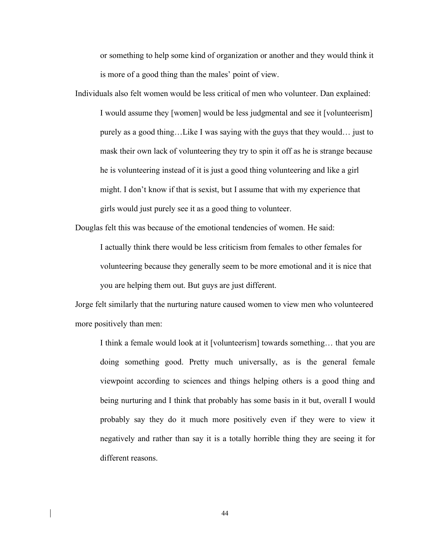or something to help some kind of organization or another and they would think it is more of a good thing than the males' point of view.

Individuals also felt women would be less critical of men who volunteer. Dan explained: I would assume they [women] would be less judgmental and see it [volunteerism] purely as a good thing…Like I was saying with the guys that they would… just to mask their own lack of volunteering they try to spin it off as he is strange because he is volunteering instead of it is just a good thing volunteering and like a girl might. I don't know if that is sexist, but I assume that with my experience that girls would just purely see it as a good thing to volunteer.

Douglas felt this was because of the emotional tendencies of women. He said:

I actually think there would be less criticism from females to other females for volunteering because they generally seem to be more emotional and it is nice that you are helping them out. But guys are just different.

Jorge felt similarly that the nurturing nature caused women to view men who volunteered more positively than men:

I think a female would look at it [volunteerism] towards something… that you are doing something good. Pretty much universally, as is the general female viewpoint according to sciences and things helping others is a good thing and being nurturing and I think that probably has some basis in it but, overall I would probably say they do it much more positively even if they were to view it negatively and rather than say it is a totally horrible thing they are seeing it for different reasons.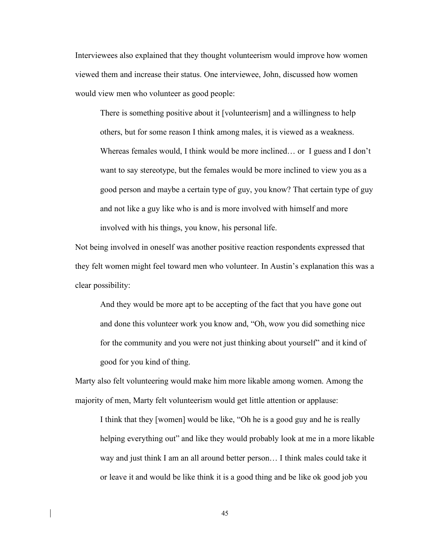Interviewees also explained that they thought volunteerism would improve how women viewed them and increase their status. One interviewee, John, discussed how women would view men who volunteer as good people:

There is something positive about it [volunteerism] and a willingness to help others, but for some reason I think among males, it is viewed as a weakness. Whereas females would, I think would be more inclined… or I guess and I don't want to say stereotype, but the females would be more inclined to view you as a good person and maybe a certain type of guy, you know? That certain type of guy and not like a guy like who is and is more involved with himself and more involved with his things, you know, his personal life.

Not being involved in oneself was another positive reaction respondents expressed that they felt women might feel toward men who volunteer. In Austin's explanation this was a clear possibility:

And they would be more apt to be accepting of the fact that you have gone out and done this volunteer work you know and, "Oh, wow you did something nice for the community and you were not just thinking about yourself" and it kind of good for you kind of thing.

Marty also felt volunteering would make him more likable among women. Among the majority of men, Marty felt volunteerism would get little attention or applause:

I think that they [women] would be like, "Oh he is a good guy and he is really helping everything out" and like they would probably look at me in a more likable way and just think I am an all around better person… I think males could take it or leave it and would be like think it is a good thing and be like ok good job you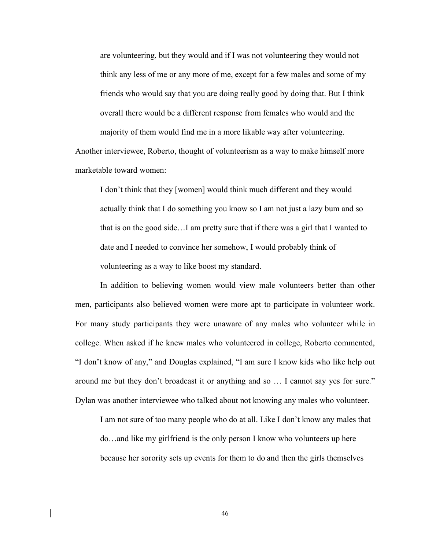are volunteering, but they would and if I was not volunteering they would not think any less of me or any more of me, except for a few males and some of my friends who would say that you are doing really good by doing that. But I think overall there would be a different response from females who would and the majority of them would find me in a more likable way after volunteering.

Another interviewee, Roberto, thought of volunteerism as a way to make himself more marketable toward women:

I don't think that they [women] would think much different and they would actually think that I do something you know so I am not just a lazy bum and so that is on the good side…I am pretty sure that if there was a girl that I wanted to date and I needed to convince her somehow, I would probably think of volunteering as a way to like boost my standard.

In addition to believing women would view male volunteers better than other men, participants also believed women were more apt to participate in volunteer work. For many study participants they were unaware of any males who volunteer while in college. When asked if he knew males who volunteered in college, Roberto commented, "I don't know of any," and Douglas explained, "I am sure I know kids who like help out around me but they don't broadcast it or anything and so … I cannot say yes for sure." Dylan was another interviewee who talked about not knowing any males who volunteer.

I am not sure of too many people who do at all. Like I don't know any males that do…and like my girlfriend is the only person I know who volunteers up here because her sorority sets up events for them to do and then the girls themselves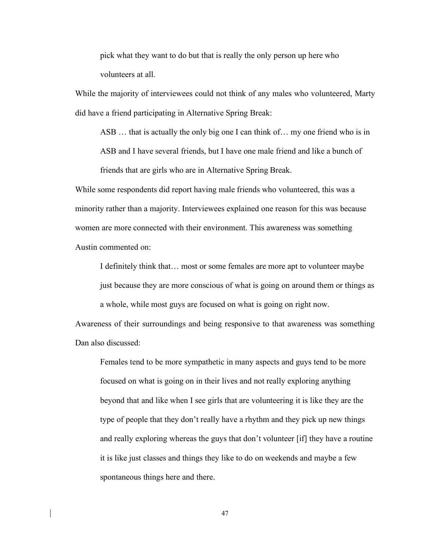pick what they want to do but that is really the only person up here who volunteers at all.

While the majority of interviewees could not think of any males who volunteered, Marty did have a friend participating in Alternative Spring Break:

ASB … that is actually the only big one I can think of… my one friend who is in

ASB and I have several friends, but I have one male friend and like a bunch of friends that are girls who are in Alternative Spring Break.

While some respondents did report having male friends who volunteered, this was a minority rather than a majority. Interviewees explained one reason for this was because women are more connected with their environment. This awareness was something Austin commented on:

I definitely think that… most or some females are more apt to volunteer maybe just because they are more conscious of what is going on around them or things as a whole, while most guys are focused on what is going on right now.

Awareness of their surroundings and being responsive to that awareness was something Dan also discussed:

Females tend to be more sympathetic in many aspects and guys tend to be more focused on what is going on in their lives and not really exploring anything beyond that and like when I see girls that are volunteering it is like they are the type of people that they don't really have a rhythm and they pick up new things and really exploring whereas the guys that don't volunteer [if] they have a routine it is like just classes and things they like to do on weekends and maybe a few spontaneous things here and there.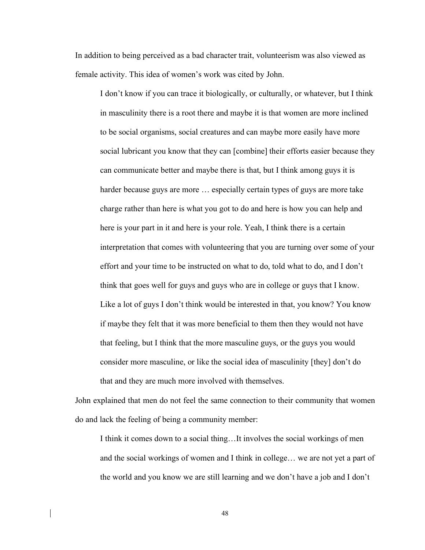In addition to being perceived as a bad character trait, volunteerism was also viewed as female activity. This idea of women's work was cited by John.

I don't know if you can trace it biologically, or culturally, or whatever, but I think in masculinity there is a root there and maybe it is that women are more inclined to be social organisms, social creatures and can maybe more easily have more social lubricant you know that they can [combine] their efforts easier because they can communicate better and maybe there is that, but I think among guys it is harder because guys are more ... especially certain types of guys are more take charge rather than here is what you got to do and here is how you can help and here is your part in it and here is your role. Yeah, I think there is a certain interpretation that comes with volunteering that you are turning over some of your effort and your time to be instructed on what to do, told what to do, and I don't think that goes well for guys and guys who are in college or guys that I know. Like a lot of guys I don't think would be interested in that, you know? You know if maybe they felt that it was more beneficial to them then they would not have that feeling, but I think that the more masculine guys, or the guys you would consider more masculine, or like the social idea of masculinity [they] don't do that and they are much more involved with themselves.

John explained that men do not feel the same connection to their community that women do and lack the feeling of being a community member:

I think it comes down to a social thing…It involves the social workings of men and the social workings of women and I think in college… we are not yet a part of the world and you know we are still learning and we don't have a job and I don't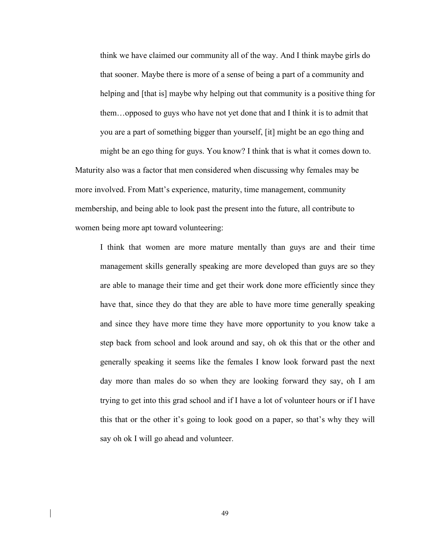think we have claimed our community all of the way. And I think maybe girls do that sooner. Maybe there is more of a sense of being a part of a community and helping and [that is] maybe why helping out that community is a positive thing for them…opposed to guys who have not yet done that and I think it is to admit that you are a part of something bigger than yourself, [it] might be an ego thing and

might be an ego thing for guys. You know? I think that is what it comes down to. Maturity also was a factor that men considered when discussing why females may be more involved. From Matt's experience, maturity, time management, community membership, and being able to look past the present into the future, all contribute to women being more apt toward volunteering:

I think that women are more mature mentally than guys are and their time management skills generally speaking are more developed than guys are so they are able to manage their time and get their work done more efficiently since they have that, since they do that they are able to have more time generally speaking and since they have more time they have more opportunity to you know take a step back from school and look around and say, oh ok this that or the other and generally speaking it seems like the females I know look forward past the next day more than males do so when they are looking forward they say, oh I am trying to get into this grad school and if I have a lot of volunteer hours or if I have this that or the other it's going to look good on a paper, so that's why they will say oh ok I will go ahead and volunteer.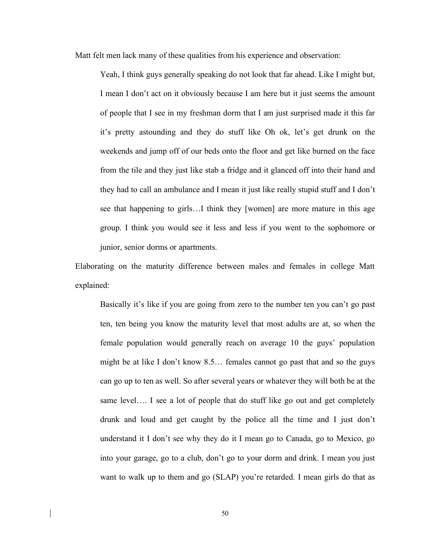Matt felt men lack many of these qualities from his experience and observation:

Yeah, I think guys generally speaking do not look that far ahead. Like I might but, I mean I don't act on it obviously because I am here but it just seems the amount of people that I see in my freshman dorm that I am just surprised made it this far it's pretty astounding and they do stuff like Oh ok, let's get drunk on the weekends and jump off of our beds onto the floor and get like burned on the face from the tile and they just like stab a fridge and it glanced off into their hand and they had to call an ambulance and I mean it just like really stupid stuff and I don't see that happening to girls…I think they [women] are more mature in this age group. I think you would see it less and less if you went to the sophomore or junior, senior dorms or apartments.

Elaborating on the maturity difference between males and females in college Matt explained:

Basically it's like if you are going from zero to the number ten you can't go past ten, ten being you know the maturity level that most adults are at, so when the female population would generally reach on average 10 the guys' population might be at like I don't know 8.5… females cannot go past that and so the guys can go up to ten as well. So after several years or whatever they will both be at the same level…. I see a lot of people that do stuff like go out and get completely drunk and loud and get caught by the police all the time and I just don't understand it I don't see why they do it I mean go to Canada, go to Mexico, go into your garage, go to a club, don't go to your dorm and drink. I mean you just want to walk up to them and go (SLAP) you're retarded. I mean girls do that as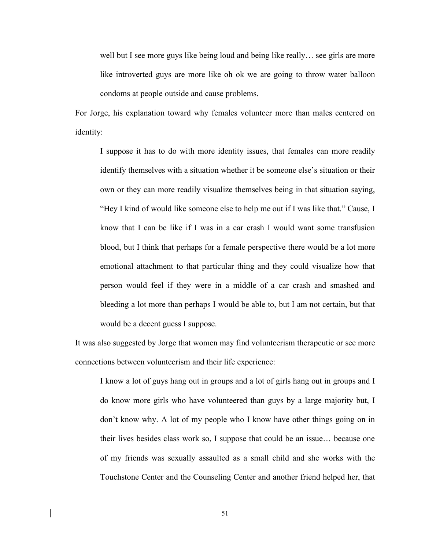well but I see more guys like being loud and being like really... see girls are more like introverted guys are more like oh ok we are going to throw water balloon condoms at people outside and cause problems.

For Jorge, his explanation toward why females volunteer more than males centered on identity:

I suppose it has to do with more identity issues, that females can more readily identify themselves with a situation whether it be someone else's situation or their own or they can more readily visualize themselves being in that situation saying, "Hey I kind of would like someone else to help me out if I was like that." Cause, I know that I can be like if I was in a car crash I would want some transfusion blood, but I think that perhaps for a female perspective there would be a lot more emotional attachment to that particular thing and they could visualize how that person would feel if they were in a middle of a car crash and smashed and bleeding a lot more than perhaps I would be able to, but I am not certain, but that would be a decent guess I suppose.

It was also suggested by Jorge that women may find volunteerism therapeutic or see more connections between volunteerism and their life experience:

I know a lot of guys hang out in groups and a lot of girls hang out in groups and I do know more girls who have volunteered than guys by a large majority but, I don't know why. A lot of my people who I know have other things going on in their lives besides class work so, I suppose that could be an issue… because one of my friends was sexually assaulted as a small child and she works with the Touchstone Center and the Counseling Center and another friend helped her, that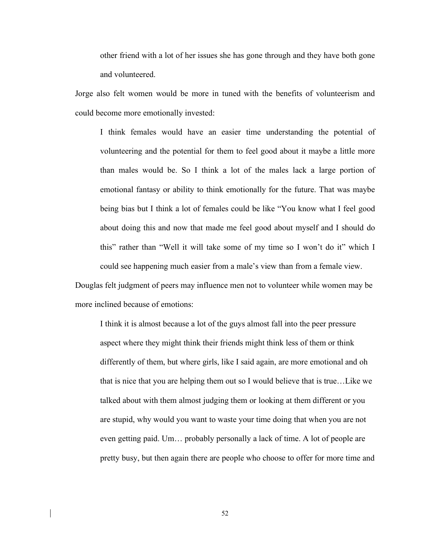other friend with a lot of her issues she has gone through and they have both gone and volunteered.

Jorge also felt women would be more in tuned with the benefits of volunteerism and could become more emotionally invested:

I think females would have an easier time understanding the potential of volunteering and the potential for them to feel good about it maybe a little more than males would be. So I think a lot of the males lack a large portion of emotional fantasy or ability to think emotionally for the future. That was maybe being bias but I think a lot of females could be like "You know what I feel good about doing this and now that made me feel good about myself and I should do this" rather than "Well it will take some of my time so I won't do it" which I could see happening much easier from a male's view than from a female view.

Douglas felt judgment of peers may influence men not to volunteer while women may be more inclined because of emotions:

I think it is almost because a lot of the guys almost fall into the peer pressure aspect where they might think their friends might think less of them or think differently of them, but where girls, like I said again, are more emotional and oh that is nice that you are helping them out so I would believe that is true…Like we talked about with them almost judging them or looking at them different or you are stupid, why would you want to waste your time doing that when you are not even getting paid. Um… probably personally a lack of time. A lot of people are pretty busy, but then again there are people who choose to offer for more time and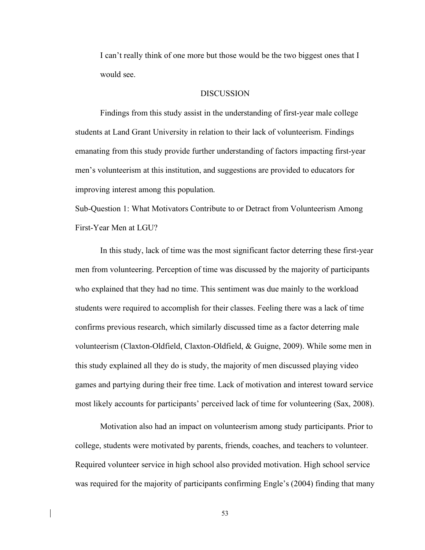I can't really think of one more but those would be the two biggest ones that I would see.

#### DISCUSSION

Findings from this study assist in the understanding of first-year male college students at Land Grant University in relation to their lack of volunteerism. Findings emanating from this study provide further understanding of factors impacting first-year men's volunteerism at this institution, and suggestions are provided to educators for improving interest among this population.

Sub-Question 1: What Motivators Contribute to or Detract from Volunteerism Among First-Year Men at LGU?

In this study, lack of time was the most significant factor deterring these first-year men from volunteering. Perception of time was discussed by the majority of participants who explained that they had no time. This sentiment was due mainly to the workload students were required to accomplish for their classes. Feeling there was a lack of time confirms previous research, which similarly discussed time as a factor deterring male volunteerism (Claxton-Oldfield, Claxton-Oldfield, & Guigne, 2009). While some men in this study explained all they do is study, the majority of men discussed playing video games and partying during their free time. Lack of motivation and interest toward service most likely accounts for participants' perceived lack of time for volunteering (Sax, 2008).

Motivation also had an impact on volunteerism among study participants. Prior to college, students were motivated by parents, friends, coaches, and teachers to volunteer. Required volunteer service in high school also provided motivation. High school service was required for the majority of participants confirming Engle's (2004) finding that many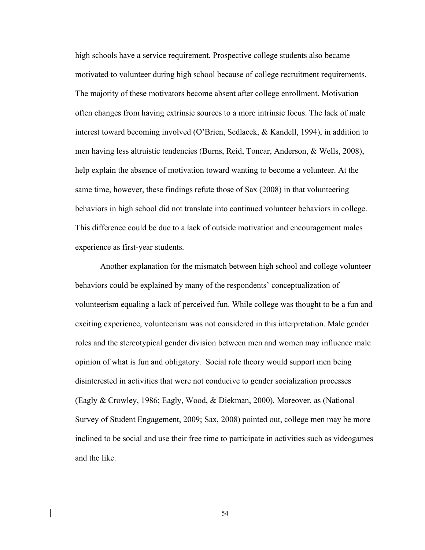high schools have a service requirement. Prospective college students also became motivated to volunteer during high school because of college recruitment requirements. The majority of these motivators become absent after college enrollment. Motivation often changes from having extrinsic sources to a more intrinsic focus. The lack of male interest toward becoming involved (O'Brien, Sedlacek, & Kandell, 1994), in addition to men having less altruistic tendencies (Burns, Reid, Toncar, Anderson, & Wells, 2008), help explain the absence of motivation toward wanting to become a volunteer. At the same time, however, these findings refute those of Sax (2008) in that volunteering behaviors in high school did not translate into continued volunteer behaviors in college. This difference could be due to a lack of outside motivation and encouragement males experience as first-year students.

Another explanation for the mismatch between high school and college volunteer behaviors could be explained by many of the respondents' conceptualization of volunteerism equaling a lack of perceived fun. While college was thought to be a fun and exciting experience, volunteerism was not considered in this interpretation. Male gender roles and the stereotypical gender division between men and women may influence male opinion of what is fun and obligatory. Social role theory would support men being disinterested in activities that were not conducive to gender socialization processes (Eagly & Crowley, 1986; Eagly, Wood, & Diekman, 2000). Moreover, as (National Survey of Student Engagement, 2009; Sax, 2008) pointed out, college men may be more inclined to be social and use their free time to participate in activities such as videogames and the like.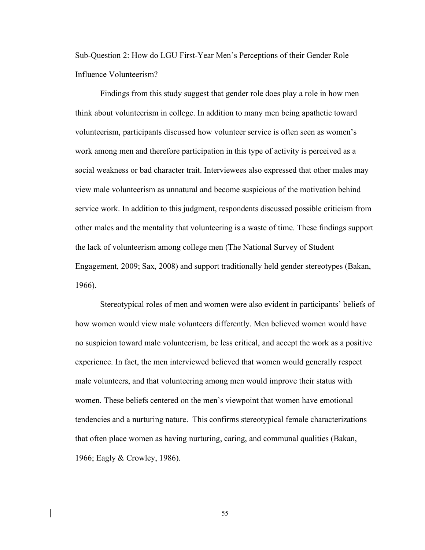Sub-Question 2: How do LGU First-Year Men's Perceptions of their Gender Role Influence Volunteerism?

Findings from this study suggest that gender role does play a role in how men think about volunteerism in college. In addition to many men being apathetic toward volunteerism, participants discussed how volunteer service is often seen as women's work among men and therefore participation in this type of activity is perceived as a social weakness or bad character trait. Interviewees also expressed that other males may view male volunteerism as unnatural and become suspicious of the motivation behind service work. In addition to this judgment, respondents discussed possible criticism from other males and the mentality that volunteering is a waste of time. These findings support the lack of volunteerism among college men (The National Survey of Student Engagement, 2009; Sax, 2008) and support traditionally held gender stereotypes (Bakan, 1966).

Stereotypical roles of men and women were also evident in participants' beliefs of how women would view male volunteers differently. Men believed women would have no suspicion toward male volunteerism, be less critical, and accept the work as a positive experience. In fact, the men interviewed believed that women would generally respect male volunteers, and that volunteering among men would improve their status with women. These beliefs centered on the men's viewpoint that women have emotional tendencies and a nurturing nature. This confirms stereotypical female characterizations that often place women as having nurturing, caring, and communal qualities (Bakan, 1966; Eagly & Crowley, 1986).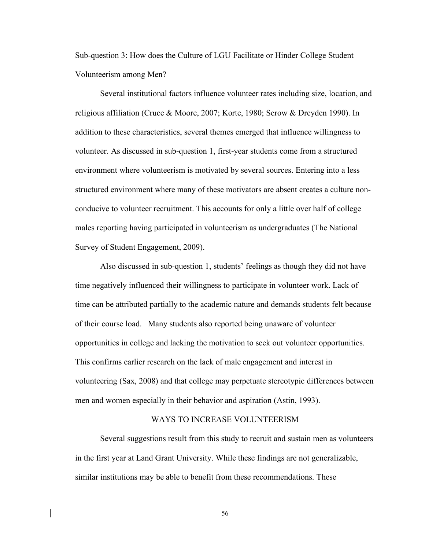Sub-question 3: How does the Culture of LGU Facilitate or Hinder College Student Volunteerism among Men?

Several institutional factors influence volunteer rates including size, location, and religious affiliation (Cruce & Moore, 2007; Korte, 1980; Serow & Dreyden 1990). In addition to these characteristics, several themes emerged that influence willingness to volunteer. As discussed in sub-question 1, first-year students come from a structured environment where volunteerism is motivated by several sources. Entering into a less structured environment where many of these motivators are absent creates a culture nonconducive to volunteer recruitment. This accounts for only a little over half of college males reporting having participated in volunteerism as undergraduates (The National Survey of Student Engagement, 2009).

Also discussed in sub-question 1, students' feelings as though they did not have time negatively influenced their willingness to participate in volunteer work. Lack of time can be attributed partially to the academic nature and demands students felt because of their course load. Many students also reported being unaware of volunteer opportunities in college and lacking the motivation to seek out volunteer opportunities. This confirms earlier research on the lack of male engagement and interest in volunteering (Sax, 2008) and that college may perpetuate stereotypic differences between men and women especially in their behavior and aspiration (Astin, 1993).

# WAYS TO INCREASE VOLUNTEERISM

Several suggestions result from this study to recruit and sustain men as volunteers in the first year at Land Grant University. While these findings are not generalizable, similar institutions may be able to benefit from these recommendations. These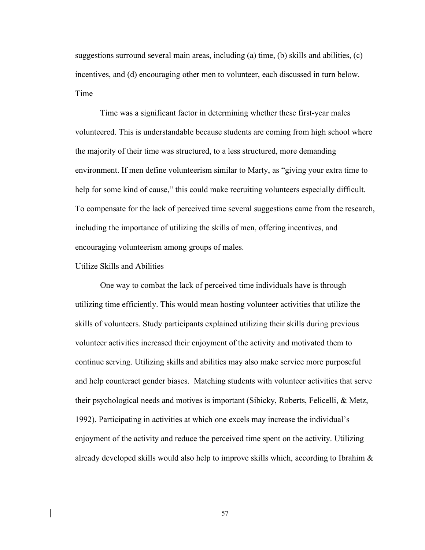suggestions surround several main areas, including (a) time, (b) skills and abilities, (c) incentives, and (d) encouraging other men to volunteer, each discussed in turn below. Time

Time was a significant factor in determining whether these first-year males volunteered. This is understandable because students are coming from high school where the majority of their time was structured, to a less structured, more demanding environment. If men define volunteerism similar to Marty, as "giving your extra time to help for some kind of cause," this could make recruiting volunteers especially difficult. To compensate for the lack of perceived time several suggestions came from the research, including the importance of utilizing the skills of men, offering incentives, and encouraging volunteerism among groups of males.

### Utilize Skills and Abilities

One way to combat the lack of perceived time individuals have is through utilizing time efficiently. This would mean hosting volunteer activities that utilize the skills of volunteers. Study participants explained utilizing their skills during previous volunteer activities increased their enjoyment of the activity and motivated them to continue serving. Utilizing skills and abilities may also make service more purposeful and help counteract gender biases. Matching students with volunteer activities that serve their psychological needs and motives is important (Sibicky, Roberts, Felicelli, & Metz, 1992). Participating in activities at which one excels may increase the individual's enjoyment of the activity and reduce the perceived time spent on the activity. Utilizing already developed skills would also help to improve skills which, according to Ibrahim &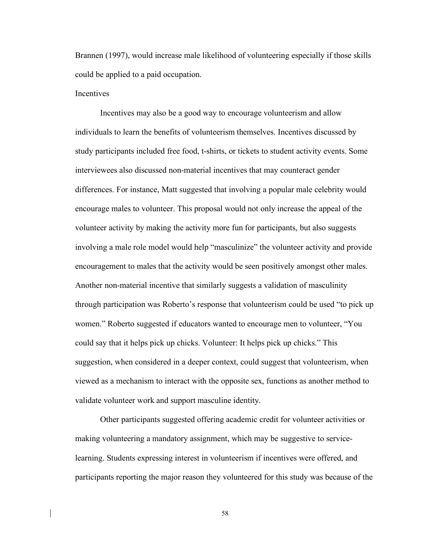Brannen (1997), would increase male likelihood of volunteering especially if those skills could be applied to a paid occupation.

# **Incentives**

Incentives may also be a good way to encourage volunteerism and allow individuals to learn the benefits of volunteerism themselves. Incentives discussed by study participants included free food, t-shirts, or tickets to student activity events. Some interviewees also discussed non-material incentives that may counteract gender differences. For instance, Matt suggested that involving a popular male celebrity would encourage males to volunteer. This proposal would not only increase the appeal of the volunteer activity by making the activity more fun for participants, but also suggests involving a male role model would help "masculinize" the volunteer activity and provide encouragement to males that the activity would be seen positively amongst other males. Another non-material incentive that similarly suggests a validation of masculinity through participation was Roberto's response that volunteerism could be used "to pick up women." Roberto suggested if educators wanted to encourage men to volunteer, "You could say that it helps pick up chicks. Volunteer: It helps pick up chicks." This suggestion, when considered in a deeper context, could suggest that volunteerism, when viewed as a mechanism to interact with the opposite sex, functions as another method to validate volunteer work and support masculine identity.

Other participants suggested offering academic credit for volunteer activities or making volunteering a mandatory assignment, which may be suggestive to servicelearning. Students expressing interest in volunteerism if incentives were offered, and participants reporting the major reason they volunteered for this study was because of the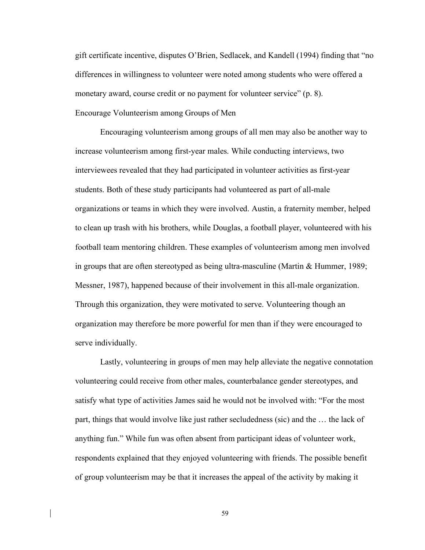gift certificate incentive, disputes O'Brien, Sedlacek, and Kandell (1994) finding that "no differences in willingness to volunteer were noted among students who were offered a monetary award, course credit or no payment for volunteer service" (p. 8). Encourage Volunteerism among Groups of Men

Encouraging volunteerism among groups of all men may also be another way to increase volunteerism among first-year males. While conducting interviews, two interviewees revealed that they had participated in volunteer activities as first-year students. Both of these study participants had volunteered as part of all-male organizations or teams in which they were involved. Austin, a fraternity member, helped to clean up trash with his brothers, while Douglas, a football player, volunteered with his football team mentoring children. These examples of volunteerism among men involved in groups that are often stereotyped as being ultra-masculine (Martin  $&$  Hummer, 1989; Messner, 1987), happened because of their involvement in this all-male organization. Through this organization, they were motivated to serve. Volunteering though an organization may therefore be more powerful for men than if they were encouraged to serve individually.

Lastly, volunteering in groups of men may help alleviate the negative connotation volunteering could receive from other males, counterbalance gender stereotypes, and satisfy what type of activities James said he would not be involved with: "For the most part, things that would involve like just rather secludedness (sic) and the … the lack of anything fun." While fun was often absent from participant ideas of volunteer work, respondents explained that they enjoyed volunteering with friends. The possible benefit of group volunteerism may be that it increases the appeal of the activity by making it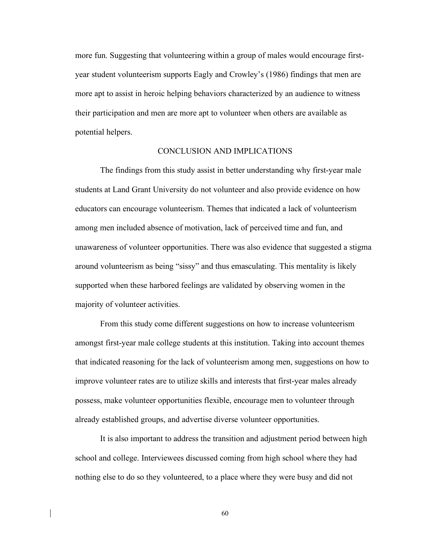more fun. Suggesting that volunteering within a group of males would encourage firstyear student volunteerism supports Eagly and Crowley's (1986) findings that men are more apt to assist in heroic helping behaviors characterized by an audience to witness their participation and men are more apt to volunteer when others are available as potential helpers.

# CONCLUSION AND IMPLICATIONS

The findings from this study assist in better understanding why first-year male students at Land Grant University do not volunteer and also provide evidence on how educators can encourage volunteerism. Themes that indicated a lack of volunteerism among men included absence of motivation, lack of perceived time and fun, and unawareness of volunteer opportunities. There was also evidence that suggested a stigma around volunteerism as being "sissy" and thus emasculating. This mentality is likely supported when these harbored feelings are validated by observing women in the majority of volunteer activities.

From this study come different suggestions on how to increase volunteerism amongst first-year male college students at this institution. Taking into account themes that indicated reasoning for the lack of volunteerism among men, suggestions on how to improve volunteer rates are to utilize skills and interests that first-year males already possess, make volunteer opportunities flexible, encourage men to volunteer through already established groups, and advertise diverse volunteer opportunities.

It is also important to address the transition and adjustment period between high school and college. Interviewees discussed coming from high school where they had nothing else to do so they volunteered, to a place where they were busy and did not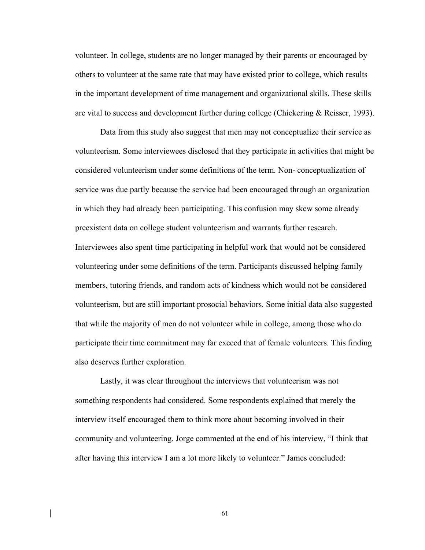volunteer. In college, students are no longer managed by their parents or encouraged by others to volunteer at the same rate that may have existed prior to college, which results in the important development of time management and organizational skills. These skills are vital to success and development further during college (Chickering & Reisser, 1993).

Data from this study also suggest that men may not conceptualize their service as volunteerism. Some interviewees disclosed that they participate in activities that might be considered volunteerism under some definitions of the term. Non- conceptualization of service was due partly because the service had been encouraged through an organization in which they had already been participating. This confusion may skew some already preexistent data on college student volunteerism and warrants further research. Interviewees also spent time participating in helpful work that would not be considered volunteering under some definitions of the term. Participants discussed helping family members, tutoring friends, and random acts of kindness which would not be considered volunteerism, but are still important prosocial behaviors. Some initial data also suggested that while the majority of men do not volunteer while in college, among those who do participate their time commitment may far exceed that of female volunteers. This finding also deserves further exploration.

Lastly, it was clear throughout the interviews that volunteerism was not something respondents had considered. Some respondents explained that merely the interview itself encouraged them to think more about becoming involved in their community and volunteering. Jorge commented at the end of his interview, "I think that after having this interview I am a lot more likely to volunteer." James concluded: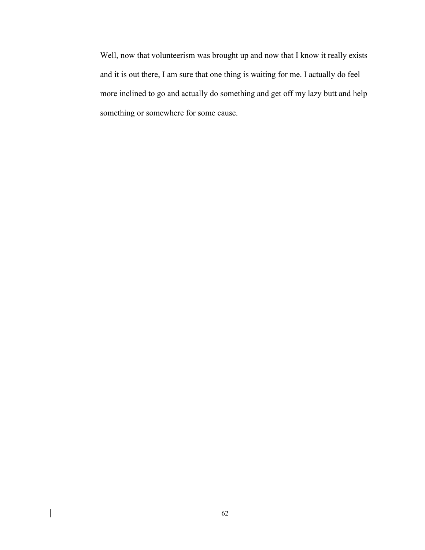Well, now that volunteerism was brought up and now that I know it really exists and it is out there, I am sure that one thing is waiting for me. I actually do feel more inclined to go and actually do something and get off my lazy butt and help something or somewhere for some cause.

 $\begin{array}{c} \hline \end{array}$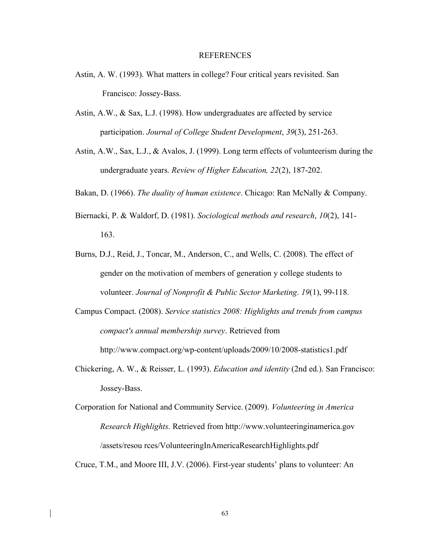#### REFERENCES

- Astin, A. W. (1993). What matters in college? Four critical years revisited. San Francisco: Jossey-Bass.
- Astin, A.W., & Sax, L.J. (1998). How undergraduates are affected by service participation. *Journal of College Student Development*, *39*(3), 251-263.
- Astin, A.W., Sax, L.J., & Avalos, J. (1999). Long term effects of volunteerism during the undergraduate years. *Review of Higher Education, 22*(2), 187-202.
- Bakan, D. (1966). *The duality of human existence*. Chicago: Ran McNally & Company.
- Biernacki, P. & Waldorf, D. (1981). *Sociological methods and research*, *10*(2), 141- 163.
- Burns, D.J., Reid, J., Toncar, M., Anderson, C., and Wells, C. (2008). The effect of gender on the motivation of members of generation y college students to volunteer. *Journal of Nonprofit & Public Sector Marketing*. *19*(1), 99-118.
- Campus Compact. (2008). *Service statistics 2008: Highlights and trends from campus compact's annual membership survey*. Retrieved from http://www.compact.org/wp-content/uploads/2009/10/2008-statistics1.pdf
- Chickering, A. W., & Reisser, L. (1993). *Education and identity* (2nd ed.). San Francisco: Jossey-Bass.
- Corporation for National and Community Service. (2009). *Volunteering in America Research Highlights*. Retrieved from http://www.volunteeringinamerica.gov /assets/resou rces/VolunteeringInAmericaResearchHighlights.pdf

Cruce, T.M., and Moore III, J.V. (2006). First-year students' plans to volunteer: An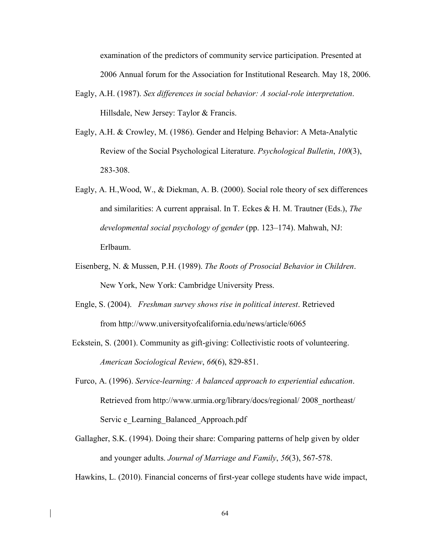examination of the predictors of community service participation. Presented at 2006 Annual forum for the Association for Institutional Research. May 18, 2006.

- Eagly, A.H. (1987). *Sex differences in social behavior: A social-role interpretation*. Hillsdale, New Jersey: Taylor & Francis.
- Eagly, A.H. & Crowley, M. (1986). Gender and Helping Behavior: A Meta-Analytic Review of the Social Psychological Literature. *Psychological Bulletin*, *100*(3), 283-308.
- Eagly, A. H.,Wood, W., & Diekman, A. B. (2000). Social role theory of sex differences and similarities: A current appraisal. In T. Eckes & H. M. Trautner (Eds.), *The developmental social psychology of gender* (pp. 123–174). Mahwah, NJ: Erlbaum.
- Eisenberg, N. & Mussen, P.H. (1989). *The Roots of Prosocial Behavior in Children*. New York, New York: Cambridge University Press.
- Engle, S. (2004). *Freshman survey shows rise in political interest*. Retrieved from http://www.universityofcalifornia.edu/news/article/6065
- Eckstein, S. (2001). Community as gift-giving: Collectivistic roots of volunteering. *American Sociological Review*, *66*(6), 829-851.
- Furco, A. (1996). *Service-learning: A balanced approach to experiential education*. Retrieved from http://www.urmia.org/library/docs/regional/ 2008\_northeast/ Servic e Learning Balanced Approach.pdf
- Gallagher, S.K. (1994). Doing their share: Comparing patterns of help given by older and younger adults. *Journal of Marriage and Family*, *56*(3), 567-578.

Hawkins, L. (2010). Financial concerns of first-year college students have wide impact,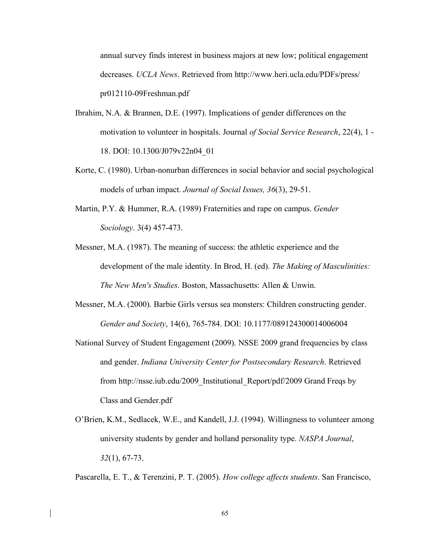annual survey finds interest in business majors at new low; political engagement decreases. *UCLA News*. Retrieved from http://www.heri.ucla.edu/PDFs/press/ pr012110-09Freshman.pdf

- Ibrahim, N.A. & Brannen, D.E. (1997). Implications of gender differences on the motivation to volunteer in hospitals. Journal *of Social Service Research*, 22(4), 1 - 18. DOI: 10.1300/J079v22n04\_01
- Korte, C. (1980). Urban-nonurban differences in social behavior and social psychological models of urban impact. *Journal of Social Issues, 36*(3), 29-51.
- Martin, P.Y. & Hummer, R.A. (1989) Fraternities and rape on campus. *Gender Sociology*. 3(4) 457-473.
- Messner, M.A. (1987). The meaning of success: the athletic experience and the development of the male identity. In Brod, H. (ed). *The Making of Masculinities: The New Men's Studies*. Boston, Massachusetts: Allen & Unwin.
- Messner, M.A. (2000). Barbie Girls versus sea monsters: Children constructing gender. *Gender and Society*, 14(6), 765-784. DOI: 10.1177/089124300014006004
- National Survey of Student Engagement (2009). NSSE 2009 grand frequencies by class and gender. *Indiana University Center for Postsecondary Research*. Retrieved from http://nsse.iub.edu/2009\_Institutional\_Report/pdf/2009 Grand Freqs by Class and Gender.pdf
- O'Brien, K.M., Sedlacek, W.E., and Kandell, J.J. (1994). Willingness to volunteer among university students by gender and holland personality type. *NASPA Journal*, *32*(1), 67-73.

Pascarella, E. T., & Terenzini, P. T. (2005). *How college affects students*. San Francisco,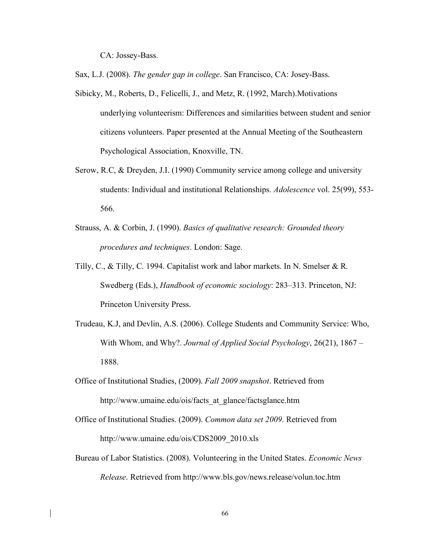CA: Jossey-Bass.

Sax, L.J. (2008). *The gender gap in college*. San Francisco, CA: Josey-Bass.

- Sibicky, M., Roberts, D., Felicelli, J., and Metz, R. (1992, March).Motivations underlying volunteerism: Differences and similarities between student and senior citizens volunteers. Paper presented at the Annual Meeting of the Southeastern Psychological Association, Knoxville, TN.
- Serow, R.C, & Dreyden, J.I. (1990) Community service among college and university students: Individual and institutional Relationships. *Adolescence* vol. 25(99), 553- 566.
- Strauss, A. & Corbin, J. (1990). *Basics of qualitative research: Grounded theory procedures and techniques*. London: Sage.
- Tilly, C., & Tilly, C. 1994. Capitalist work and labor markets. In N. Smelser & R. Swedberg (Eds.), *Handbook of economic sociology*: 283–313. Princeton, NJ: Princeton University Press.
- Trudeau, K.J, and Devlin, A.S. (2006). College Students and Community Service: Who, With Whom, and Why?. *Journal of Applied Social Psychology*, 26(21), 1867 – 1888.
- Office of Institutional Studies, (2009). *Fall 2009 snapshot*. Retrieved from http://www.umaine.edu/ois/facts\_at\_glance/factsglance.htm
- Office of Institutional Studies. (2009). *Common data set 2009*. Retrieved from http://www.umaine.edu/ois/CDS2009\_2010.xls
- Bureau of Labor Statistics. (2008). Volunteering in the United States. *Economic News Release*. Retrieved from http://www.bls.gov/news.release/volun.toc.htm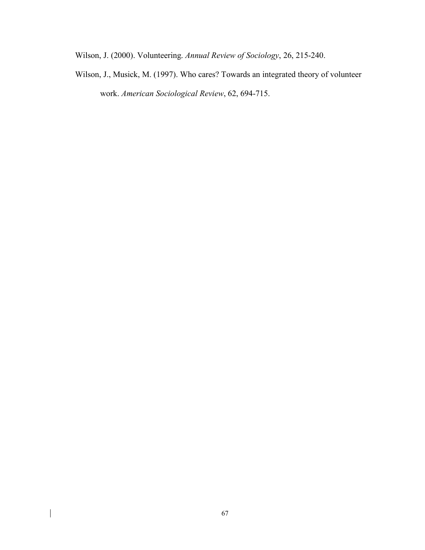Wilson, J. (2000). Volunteering. *Annual Review of Sociology*, 26, 215-240.

Wilson, J., Musick, M. (1997). Who cares? Towards an integrated theory of volunteer work. *American Sociological Review*, 62, 694-715.

 $\begin{array}{c} \hline \end{array}$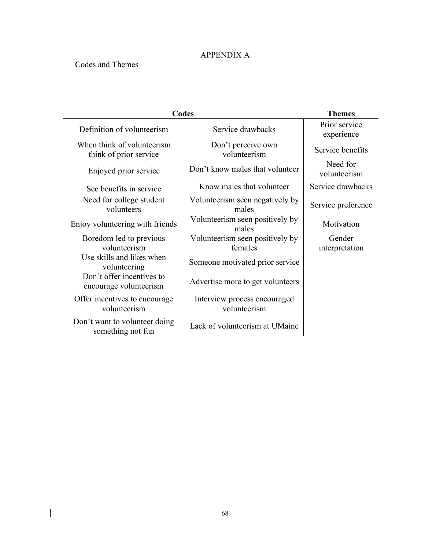## APPENDIX A

## Codes and Themes

 $\overline{\phantom{a}}$ 

| <b>Codes</b>                                         | <b>Themes</b>                                |                             |
|------------------------------------------------------|----------------------------------------------|-----------------------------|
| Definition of volunteerism                           | Service drawbacks                            | Prior service<br>experience |
| When think of volunteerism<br>think of prior service | Don't perceive own<br>volunteerism           | Service benefits            |
| Enjoyed prior service                                | Don't know males that volunteer              | Need for<br>volunteerism    |
| See benefits in service                              | Know males that volunteer                    | Service drawbacks           |
| Need for college student<br>volunteers               | Volunteerism seen negatively by<br>males     | Service preference          |
| Enjoy volunteering with friends                      | Volunteerism seen positively by<br>males     | Motivation                  |
| Boredom led to previous<br>volunteerism              | Volunteerism seen positively by<br>females   | Gender<br>interpretation    |
| Use skills and likes when<br>volunteering            | Someone motivated prior service              |                             |
| Don't offer incentives to<br>encourage volunteerism  | Advertise more to get volunteers             |                             |
| Offer incentives to encourage<br>volunteerism        | Interview process encouraged<br>volunteerism |                             |
| Don't want to volunteer doing<br>something not fun   | Lack of volunteerism at UMaine               |                             |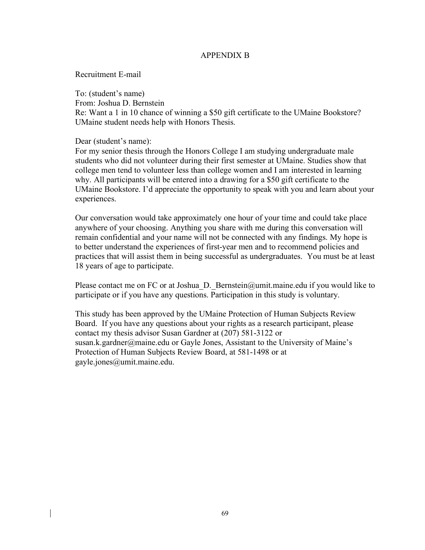#### APPENDIX B

Recruitment E-mail

To: (student's name)

From: Joshua D. Bernstein

Re: Want a 1 in 10 chance of winning a \$50 gift certificate to the UMaine Bookstore? UMaine student needs help with Honors Thesis.

Dear (student's name):

For my senior thesis through the Honors College I am studying undergraduate male students who did not volunteer during their first semester at UMaine. Studies show that college men tend to volunteer less than college women and I am interested in learning why. All participants will be entered into a drawing for a \$50 gift certificate to the UMaine Bookstore. I'd appreciate the opportunity to speak with you and learn about your experiences.

Our conversation would take approximately one hour of your time and could take place anywhere of your choosing. Anything you share with me during this conversation will remain confidential and your name will not be connected with any findings. My hope is to better understand the experiences of first-year men and to recommend policies and practices that will assist them in being successful as undergraduates. You must be at least 18 years of age to participate.

Please contact me on FC or at Joshua D. Bernstein@umit.maine.edu if you would like to participate or if you have any questions. Participation in this study is voluntary.

This study has been approved by the UMaine Protection of Human Subjects Review Board. If you have any questions about your rights as a research participant, please contact my thesis advisor Susan Gardner at (207) 581-3122 or susan.k.gardner@maine.edu or Gayle Jones, Assistant to the University of Maine's Protection of Human Subjects Review Board, at 581-1498 or at gayle.jones@umit.maine.edu.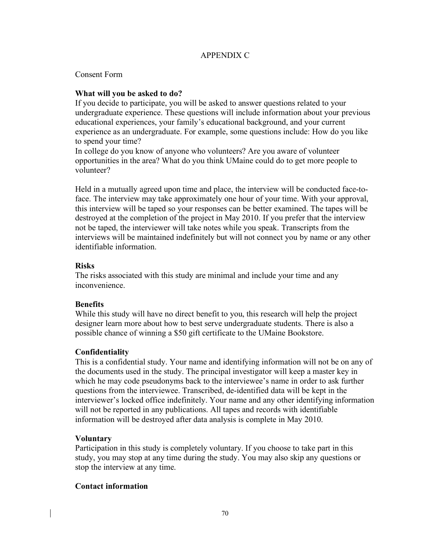### APPENDIX C

#### Consent Form

#### **What will you be asked to do?**

If you decide to participate, you will be asked to answer questions related to your undergraduate experience. These questions will include information about your previous educational experiences, your family's educational background, and your current experience as an undergraduate. For example, some questions include: How do you like to spend your time?

In college do you know of anyone who volunteers? Are you aware of volunteer opportunities in the area? What do you think UMaine could do to get more people to volunteer?

Held in a mutually agreed upon time and place, the interview will be conducted face-toface. The interview may take approximately one hour of your time. With your approval, this interview will be taped so your responses can be better examined. The tapes will be destroyed at the completion of the project in May 2010. If you prefer that the interview not be taped, the interviewer will take notes while you speak. Transcripts from the interviews will be maintained indefinitely but will not connect you by name or any other identifiable information.

#### **Risks**

The risks associated with this study are minimal and include your time and any inconvenience.

#### **Benefits**

While this study will have no direct benefit to you, this research will help the project designer learn more about how to best serve undergraduate students. There is also a possible chance of winning a \$50 gift certificate to the UMaine Bookstore.

#### **Confidentiality**

This is a confidential study. Your name and identifying information will not be on any of the documents used in the study. The principal investigator will keep a master key in which he may code pseudonyms back to the interviewee's name in order to ask further questions from the interviewee. Transcribed, de-identified data will be kept in the interviewer's locked office indefinitely. Your name and any other identifying information will not be reported in any publications. All tapes and records with identifiable information will be destroyed after data analysis is complete in May 2010.

#### **Voluntary**

Participation in this study is completely voluntary. If you choose to take part in this study, you may stop at any time during the study. You may also skip any questions or stop the interview at any time.

#### **Contact information**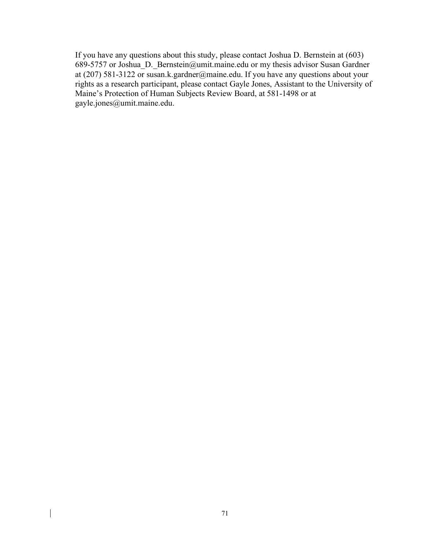If you have any questions about this study, please contact Joshua D. Bernstein at (603) 689-5757 or Joshua\_D.\_Bernstein@umit.maine.edu or my thesis advisor Susan Gardner at (207) 581-3122 or susan.k.gardner@maine.edu. If you have any questions about your rights as a research participant, please contact Gayle Jones, Assistant to the University of Maine's Protection of Human Subjects Review Board, at 581-1498 or at gayle.jones@umit.maine.edu.

 $\overline{\phantom{a}}$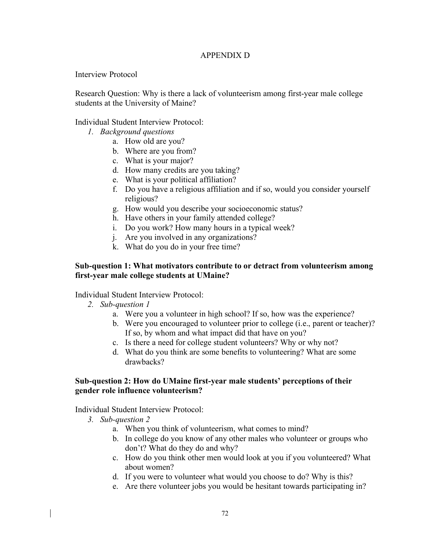### APPENDIX D

Interview Protocol

Research Question: Why is there a lack of volunteerism among first-year male college students at the University of Maine?

Individual Student Interview Protocol:

- *1. Background questions*
	- a. How old are you?
	- b. Where are you from?
	- c. What is your major?
	- d. How many credits are you taking?
	- e. What is your political affiliation?
	- f. Do you have a religious affiliation and if so, would you consider yourself religious?
	- g. How would you describe your socioeconomic status?
	- h. Have others in your family attended college?
	- i. Do you work? How many hours in a typical week?
	- j. Are you involved in any organizations?
	- k. What do you do in your free time?

#### **Sub-question 1: What motivators contribute to or detract from volunteerism among first-year male college students at UMaine?**

Individual Student Interview Protocol:

- *2. Sub-question 1*
	- a. Were you a volunteer in high school? If so, how was the experience?
	- b. Were you encouraged to volunteer prior to college (i.e., parent or teacher)? If so, by whom and what impact did that have on you?
	- c. Is there a need for college student volunteers? Why or why not?
	- d. What do you think are some benefits to volunteering? What are some drawbacks?

#### **Sub-question 2: How do UMaine first-year male students' perceptions of their gender role influence volunteerism?**

Individual Student Interview Protocol:

- *3. Sub-question 2*
	- a. When you think of volunteerism, what comes to mind?
	- b. In college do you know of any other males who volunteer or groups who don't? What do they do and why?
	- c. How do you think other men would look at you if you volunteered? What about women?
	- d. If you were to volunteer what would you choose to do? Why is this?
	- e. Are there volunteer jobs you would be hesitant towards participating in?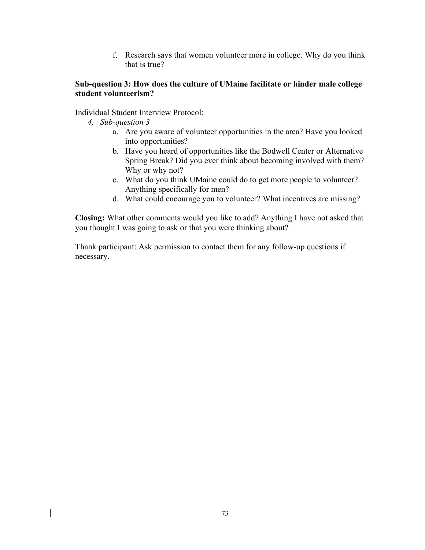f. Research says that women volunteer more in college. Why do you think that is true?

### **Sub-question 3: How does the culture of UMaine facilitate or hinder male college student volunteerism?**

Individual Student Interview Protocol:

- *4. Sub-question 3*
	- a. Are you aware of volunteer opportunities in the area? Have you looked into opportunities?
	- b. Have you heard of opportunities like the Bodwell Center or Alternative Spring Break? Did you ever think about becoming involved with them? Why or why not?
	- c. What do you think UMaine could do to get more people to volunteer? Anything specifically for men?
	- d. What could encourage you to volunteer? What incentives are missing?

**Closing:** What other comments would you like to add? Anything I have not asked that you thought I was going to ask or that you were thinking about?

Thank participant: Ask permission to contact them for any follow-up questions if necessary.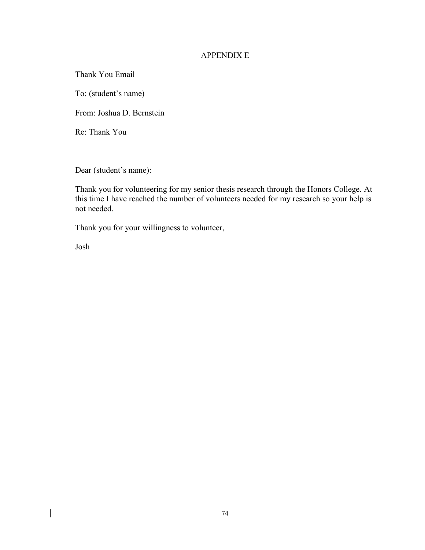#### APPENDIX E

Thank You Email To: (student's name) From: Joshua D. Bernstein Re: Thank You

Dear (student's name):

Thank you for volunteering for my senior thesis research through the Honors College. At this time I have reached the number of volunteers needed for my research so your help is not needed.

Thank you for your willingness to volunteer,

Josh

 $\overline{\phantom{a}}$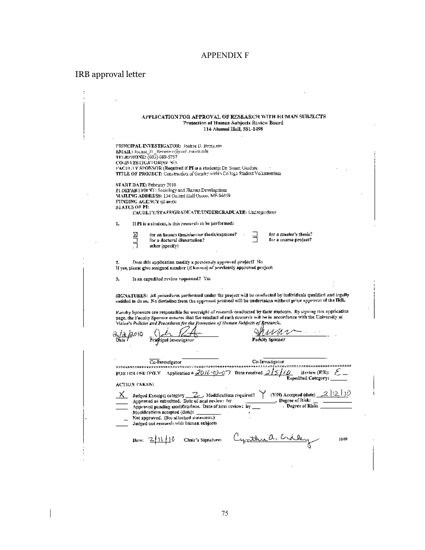## APPENDIX F

# IRB approval letter

|    |               | APPLICATION FOR APPROVAL OF RESEARCH WITH HEMAN SUBJECTS<br>Protection of Human Subjects Review Board<br>114 Alumni IIall, 581-1498                                                                                                                                                                                                                                                                                                                                                                                                                                                                                                                         |                                                                                                                                                                                                 |
|----|---------------|-------------------------------------------------------------------------------------------------------------------------------------------------------------------------------------------------------------------------------------------------------------------------------------------------------------------------------------------------------------------------------------------------------------------------------------------------------------------------------------------------------------------------------------------------------------------------------------------------------------------------------------------------------------|-------------------------------------------------------------------------------------------------------------------------------------------------------------------------------------------------|
|    |               | PRINCIPAL ENVESTIGATOR: Joahna D. Bernstein<br>EMAIL: Joana_J) _Bernsteir@cmit.thaire.cdn<br>TELRPHONE: (605) 689-5757<br>CO-INVESTIGATORISE NA<br>FACULTY SPONSOR (Required if PI is a student): Dr. Susur, Gardine<br>TITLE OF PROJECT: Construction of Gender within College Student Volunteerism.                                                                                                                                                                                                                                                                                                                                                       |                                                                                                                                                                                                 |
|    | SIATUS OF PE  | START DATE: Pebrishy 2010<br>PHDEPARTMICYT: Secielogy and Human Development.<br>MAILING ADDRESS: 134 Oxford Hall Orooo, MF 04459<br>FUNDING AGENCY (if any):<br>FACULTY/STA8B/GRADUATE/UNDERGRADUATE: Undergraduate                                                                                                                                                                                                                                                                                                                                                                                                                                         |                                                                                                                                                                                                 |
| 1. |               | If PI is a student, is this research to be performed:                                                                                                                                                                                                                                                                                                                                                                                                                                                                                                                                                                                                       |                                                                                                                                                                                                 |
|    |               | for an honors the sysenior thesis/capstone?<br>for a doctoral dissertation?<br>other (specify).                                                                                                                                                                                                                                                                                                                                                                                                                                                                                                                                                             | for a master's thesis?<br>for a course project?                                                                                                                                                 |
| 2. |               | Does this application modify a previously approved project? No<br>If yes, please give assigned number (if known) of previously approved project:                                                                                                                                                                                                                                                                                                                                                                                                                                                                                                            |                                                                                                                                                                                                 |
| э. |               | Is an expedited review requested? Yes<br>SIGNATURES: All procedures performed under the project will be conducted by individuals qualified and legally<br>entitled to do so. No deviation from the approved protocol will be undertaken without prior approval of the IRB.<br>Eaculty Sponsors are responsible for oversight of research conducted by their students. By signing this opplication<br>page, the Faculty Sponsor ensures that the conduct of such revearch will be in accordance with the University of<br>Maine's Policies and Procedures for the Protection of Hanau Subjects of Research.<br>an - 72-715<br><mark>ipal Investigator</mark> | nnar<br>Faculty Sponsor                                                                                                                                                                         |
|    | ACTION PAKEN: | Co-Investigator<br>ARE RESPONDED TO Application = $\frac{21510}{\sqrt{25}}$ To The received $\frac{21510}{\sqrt{25}}$ Beview (R/R):<br>Judged Exempt; category $\_2$ , Madifications required? $\gamma$ (Y/N) Accepted (date) $\_2$  2  2<br>Approved as submitted. Date of next review: by<br>Approved pending modifications. Date of next review: by<br>Modifications accepted (date):<br>Not approved. (See affacted statement.)<br>Judged not research with human subjects                                                                                                                                                                              | Co-Investigator<br>ssterserr <i>geddooga<del>d, 1999-1999 -</del> Anti-Anti-Anti-Allisti</i> s Sterttini i 1999-1999 - Anti-Anti-Anti-Anti-Anti-Anti-<br>. Degree of Risk:<br>. Degree of Risk: |